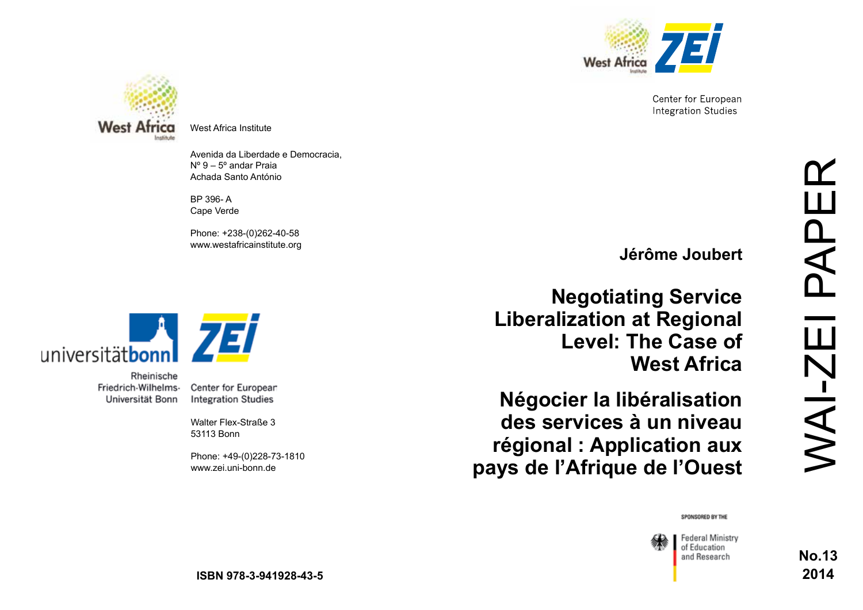

Center for European **Integration Studies** 



West Africa Institute

Avenida da Liberdade e Democracia, Nº 9 – 5º andar Praia Achada Santo António

BP 396- A Cape Verde

Phone: +238-(0)262-40-58 www.westafricainstitute.org



Rheinische Friedrich-Wilhelms-Universität Bonn

Center for European **Integration Studies** 

Walter Flex-Straße 3 53113 Bonn

Phone: +49-(0)228-73-1810 www.zei.uni-bonn.de

**Jérôme Joubert**

**Negotiating Service Liberalization at Regional Level: The Case of West Africa** 

**Négocier la libéralisation des services à un niveau régional : Application aux pays de l'Afrique de l'Ouest** 

#### SPONSORED BY THE



WAI-ZEI PAPER NAI-ZEI **No.13** 

PAPI

**2014**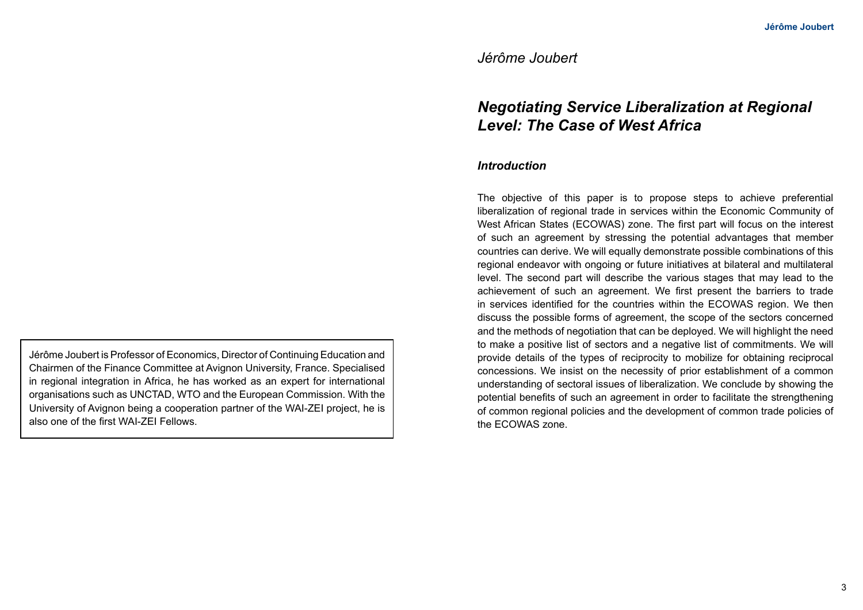# *Jérôme Joubert*

# *Negotiating Service Liberalization at Regional Level: The Case of West Africa*

### *Introduction*

The objective of this paper is to propose steps to achieve preferential liberalization of regional trade in services within the Economic Community of West African States (ECOWAS) zone. The first part will focus on the interest of such an agreement by stressing the potential advantages that member countries can derive. We will equally demonstrate possible combinations of this regional endeavor with ongoing or future initiatives at bilateral and multilateral level. The second part will describe the various stages that may lead to the achievement of such an agreement. We first present the barriers to trade in services identified for the countries within the ECOWAS region. We then discuss the possible forms of agreement, the scope of the sectors concerned and the methods of negotiation that can be deployed. We will highlight the need to make a positive list of sectors and a negative list of commitments. We will provide details of the types of reciprocity to mobilize for obtaining reciprocal concessions. We insist on the necessity of prior establishment of a common understanding of sectoral issues of liberalization. We conclude by showing the potential benefits of such an agreement in order to facilitate the strengthening of common regional policies and the development of common trade policies of the ECOWAS zone.

Jérôme Joubert is Professor of Economics, Director of Continuing Education and Chairmen of the Finance Committee at Avignon University, France. Specialised in regional integration in Africa, he has worked as an expert for international organisations such as UNCTAD, WTO and the European Commission. With the University of Avignon being a cooperation partner of the WAI-ZEI project, he is also one of the first WAI-ZEI Fellows.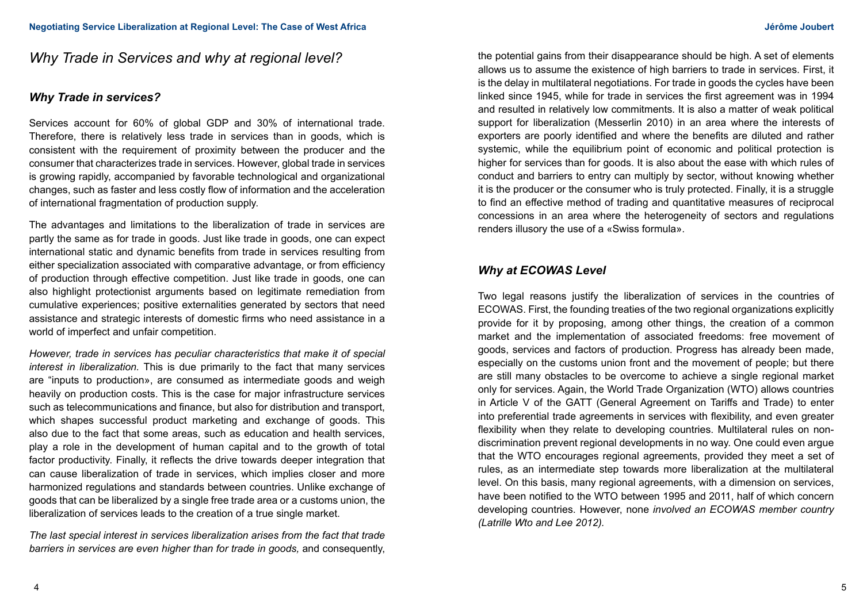# *Why Trade in Services and why at regional level?*

## *Why Trade in services?*

Services account for 60% of global GDP and 30% of international trade. Therefore, there is relatively less trade in services than in goods, which is consistent with the requirement of proximity between the producer and the consumer that characterizes trade in services. However, global trade in services is growing rapidly, accompanied by favorable technological and organizational changes, such as faster and less costly flow of information and the acceleration of international fragmentation of production supply.

The advantages and limitations to the liberalization of trade in services are partly the same as for trade in goods. Just like trade in goods, one can expect international static and dynamic benefits from trade in services resulting from either specialization associated with comparative advantage, or from efficiency of production through effective competition. Just like trade in goods, one can also highlight protectionist arguments based on legitimate remediation from cumulative experiences; positive externalities generated by sectors that need assistance and strategic interests of domestic firms who need assistance in a world of imperfect and unfair competition.

*However, trade in services has peculiar characteristics that make it of special interest in liberalization.* This is due primarily to the fact that many services are "inputs to production», are consumed as intermediate goods and weigh heavily on production costs. This is the case for major infrastructure services such as telecommunications and finance, but also for distribution and transport, which shapes successful product marketing and exchange of goods. This also due to the fact that some areas, such as education and health services, play a role in the development of human capital and to the growth of total factor productivity. Finally, it reflects the drive towards deeper integration that can cause liberalization of trade in services, which implies closer and more harmonized regulations and standards between countries. Unlike exchange of goods that can be liberalized by a single free trade area or a customs union, the liberalization of services leads to the creation of a true single market.

*The last special interest in services liberalization arises from the fact that trade barriers in services are even higher than for trade in goods,* and consequently, the potential gains from their disappearance should be high. A set of elements allows us to assume the existence of high barriers to trade in services. First, it is the delay in multilateral negotiations. For trade in goods the cycles have been linked since 1945, while for trade in services the first agreement was in 1994 and resulted in relatively low commitments. It is also a matter of weak political support for liberalization (Messerlin 2010) in an area where the interests of exporters are poorly identified and where the benefits are diluted and rather systemic, while the equilibrium point of economic and political protection is higher for services than for goods. It is also about the ease with which rules of conduct and barriers to entry can multiply by sector, without knowing whether it is the producer or the consumer who is truly protected. Finally, it is a struggle to find an effective method of trading and quantitative measures of reciprocal concessions in an area where the heterogeneity of sectors and regulations renders illusory the use of a «Swiss formula».

## *Why at ECOWAS Level*

Two legal reasons justify the liberalization of services in the countries of ECOWAS. First, the founding treaties of the two regional organizations explicitly provide for it by proposing, among other things, the creation of a common market and the implementation of associated freedoms: free movement of goods, services and factors of production. Progress has already been made, especially on the customs union front and the movement of people; but there are still many obstacles to be overcome to achieve a single regional market only for services. Again, the World Trade Organization (WTO) allows countries in Article V of the GATT (General Agreement on Tariffs and Trade) to enter into preferential trade agreements in services with flexibility, and even greater flexibility when they relate to developing countries. Multilateral rules on nondiscrimination prevent regional developments in no way. One could even argue that the WTO encourages regional agreements, provided they meet a set of rules, as an intermediate step towards more liberalization at the multilateral level. On this basis, many regional agreements, with a dimension on services, have been notified to the WTO between 1995 and 2011, half of which concern developing countries. However, none *involved an ECOWAS member country (Latrille Wto and Lee 2012).*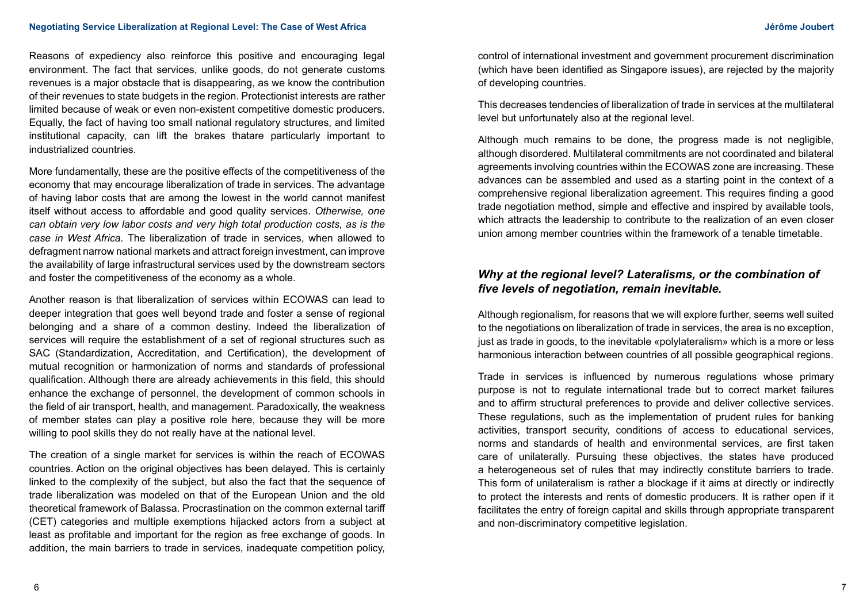#### **Negotiating Service Liberalization at Regional Level: The Case of West Africa Jérôme Joubert Africa Metal Service Service Liberalization at Regional Level: The Case of West Africa Metal Service Service Service Service Ser**

Reasons of expediency also reinforce this positive and encouraging legal environment. The fact that services, unlike goods, do not generate customs revenues is a major obstacle that is disappearing, as we know the contribution of their revenues to state budgets in the region. Protectionist interests are rather limited because of weak or even non-existent competitive domestic producers. Equally, the fact of having too small national regulatory structures, and limited institutional capacity, can lift the brakes thatare particularly important to industrialized countries.

More fundamentally, these are the positive effects of the competitiveness of the economy that may encourage liberalization of trade in services. The advantage of having labor costs that are among the lowest in the world cannot manifest itself without access to affordable and good quality services. *Otherwise, one can obtain very low labor costs and very high total production costs, as is the case in West Africa.* The liberalization of trade in services, when allowed to defragment narrow national markets and attract foreign investment, can improve the availability of large infrastructural services used by the downstream sectors and foster the competitiveness of the economy as a whole.

Another reason is that liberalization of services within ECOWAS can lead to deeper integration that goes well beyond trade and foster a sense of regional belonging and a share of a common destiny. Indeed the liberalization of services will require the establishment of a set of regional structures such as SAC (Standardization, Accreditation, and Certification), the development of mutual recognition or harmonization of norms and standards of professional qualification. Although there are already achievements in this field, this should enhance the exchange of personnel, the development of common schools in the field of air transport, health, and management. Paradoxically, the weakness of member states can play a positive role here, because they will be more willing to pool skills they do not really have at the national level.

The creation of a single market for services is within the reach of ECOWAS countries. Action on the original objectives has been delayed. This is certainly linked to the complexity of the subject, but also the fact that the sequence of trade liberalization was modeled on that of the European Union and the old theoretical framework of Balassa. Procrastination on the common external tariff (CET) categories and multiple exemptions hijacked actors from a subject at least as profitable and important for the region as free exchange of goods. In addition, the main barriers to trade in services, inadequate competition policy,

control of international investment and government procurement discrimination (which have been identified as Singapore issues), are rejected by the majority of developing countries.

This decreases tendencies of liberalization of trade in services at the multilateral level but unfortunately also at the regional level.

Although much remains to be done, the progress made is not negligible, although disordered. Multilateral commitments are not coordinated and bilateral agreements involving countries within the ECOWAS zone are increasing. These advances can be assembled and used as a starting point in the context of a comprehensive regional liberalization agreement. This requires finding a good trade negotiation method, simple and effective and inspired by available tools, which attracts the leadership to contribute to the realization of an even closer union among member countries within the framework of a tenable timetable.

## *Why at the regional level? Lateralisms, or the combination of five levels of negotiation, remain inevitable.*

Although regionalism, for reasons that we will explore further, seems well suited to the negotiations on liberalization of trade in services, the area is no exception, just as trade in goods, to the inevitable «polylateralism» which is a more or less harmonious interaction between countries of all possible geographical regions.

Trade in services is influenced by numerous regulations whose primary purpose is not to regulate international trade but to correct market failures and to affirm structural preferences to provide and deliver collective services. These regulations, such as the implementation of prudent rules for banking activities, transport security, conditions of access to educational services, norms and standards of health and environmental services, are first taken care of unilaterally. Pursuing these objectives, the states have produced a heterogeneous set of rules that may indirectly constitute barriers to trade. This form of unilateralism is rather a blockage if it aims at directly or indirectly to protect the interests and rents of domestic producers. It is rather open if it facilitates the entry of foreign capital and skills through appropriate transparent and non-discriminatory competitive legislation.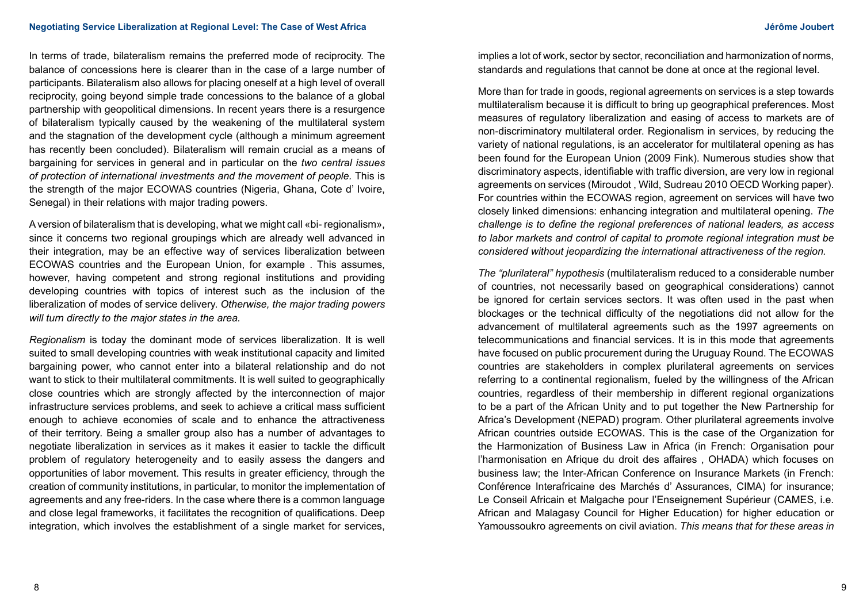In terms of trade, bilateralism remains the preferred mode of reciprocity. The balance of concessions here is clearer than in the case of a large number of participants. Bilateralism also allows for placing oneself at a high level of overall reciprocity, going beyond simple trade concessions to the balance of a global partnership with geopolitical dimensions. In recent years there is a resurgence of bilateralism typically caused by the weakening of the multilateral system and the stagnation of the development cycle (although a minimum agreement has recently been concluded). Bilateralism will remain crucial as a means of bargaining for services in general and in particular on the *two central issues of protection of international investments and the movement of people.* This is the strength of the major ECOWAS countries (Nigeria, Ghana, Cote d' Ivoire, Senegal) in their relations with major trading powers.

A version of bilateralism that is developing, what we might call «bi- regionalism», since it concerns two regional groupings which are already well advanced in their integration, may be an effective way of services liberalization between ECOWAS countries and the European Union, for example . This assumes, however, having competent and strong regional institutions and providing developing countries with topics of interest such as the inclusion of the liberalization of modes of service delivery. *Otherwise, the major trading powers will turn directly to the major states in the area.*

*Regionalism* is today the dominant mode of services liberalization. It is well suited to small developing countries with weak institutional capacity and limited bargaining power, who cannot enter into a bilateral relationship and do not want to stick to their multilateral commitments. It is well suited to geographically close countries which are strongly affected by the interconnection of major infrastructure services problems, and seek to achieve a critical mass sufficient enough to achieve economies of scale and to enhance the attractiveness of their territory. Being a smaller group also has a number of advantages to negotiate liberalization in services as it makes it easier to tackle the difficult problem of regulatory heterogeneity and to easily assess the dangers and opportunities of labor movement. This results in greater efficiency, through the creation of community institutions, in particular, to monitor the implementation of agreements and any free-riders. In the case where there is a common language and close legal frameworks, it facilitates the recognition of qualifications. Deep integration, which involves the establishment of a single market for services,

implies a lot of work, sector by sector, reconciliation and harmonization of norms, standards and regulations that cannot be done at once at the regional level.

More than for trade in goods, regional agreements on services is a step towards multilateralism because it is difficult to bring up geographical preferences. Most measures of regulatory liberalization and easing of access to markets are of non-discriminatory multilateral order. Regionalism in services, by reducing the variety of national regulations, is an accelerator for multilateral opening as has been found for the European Union (2009 Fink). Numerous studies show that discriminatory aspects, identifiable with traffic diversion, are very low in regional agreements on services (Miroudot , Wild, Sudreau 2010 OECD Working paper). For countries within the ECOWAS region, agreement on services will have two closely linked dimensions: enhancing integration and multilateral opening. *The challenge is to define the regional preferences of national leaders, as access to labor markets and control of capital to promote regional integration must be considered without jeopardizing the international attractiveness of the region.*

*The "plurilateral" hypothesis* (multilateralism reduced to a considerable number of countries, not necessarily based on geographical considerations) cannot be ignored for certain services sectors. It was often used in the past when blockages or the technical difficulty of the negotiations did not allow for the advancement of multilateral agreements such as the 1997 agreements on telecommunications and financial services. It is in this mode that agreements have focused on public procurement during the Uruguay Round. The ECOWAS countries are stakeholders in complex plurilateral agreements on services referring to a continental regionalism, fueled by the willingness of the African countries, regardless of their membership in different regional organizations to be a part of the African Unity and to put together the New Partnership for Africa's Development (NEPAD) program. Other plurilateral agreements involve African countries outside ECOWAS. This is the case of the Organization for the Harmonization of Business Law in Africa (in French: Organisation pour l'harmonisation en Afrique du droit des affaires , OHADA) which focuses on business law; the Inter-African Conference on Insurance Markets (in French: Conférence Interafricaine des Marchés d' Assurances, CIMA) for insurance; Le Conseil Africain et Malgache pour l'Enseignement Supérieur (CAMES, i.e. African and Malagasy Council for Higher Education) for higher education or Yamoussoukro agreements on civil aviation. *This means that for these areas in*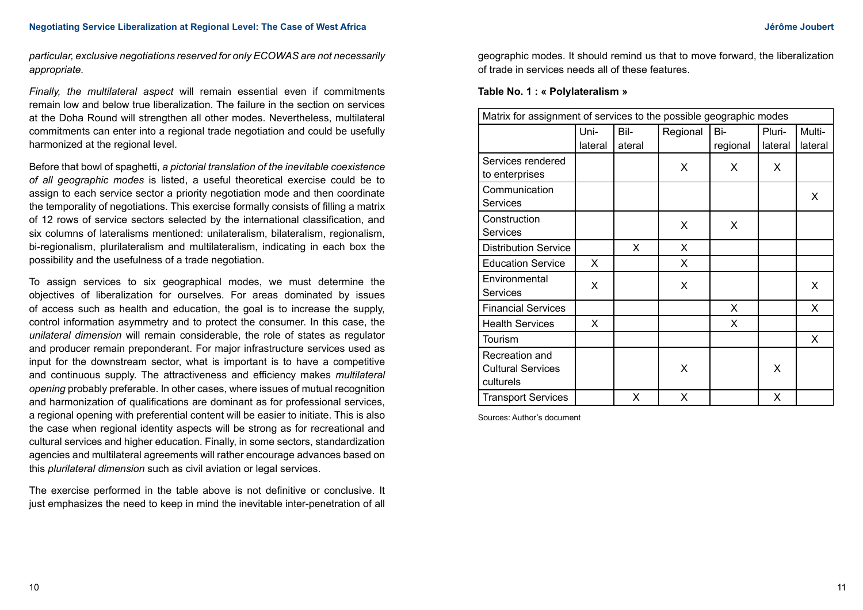*particular, exclusive negotiations reserved for only ECOWAS are not necessarily appropriate.*

*Finally, the multilateral aspect* will remain essential even if commitments remain low and below true liberalization. The failure in the section on services at the Doha Round will strengthen all other modes. Nevertheless, multilateral commitments can enter into a regional trade negotiation and could be usefully harmonized at the regional level.

Before that bowl of spaghetti, *a pictorial translation of the inevitable coexistence of all geographic modes* is listed, a useful theoretical exercise could be to assign to each service sector a priority negotiation mode and then coordinate the temporality of negotiations. This exercise formally consists of filling a matrix of 12 rows of service sectors selected by the international classification, and six columns of lateralisms mentioned: unilateralism, bilateralism, regionalism, bi-regionalism, plurilateralism and multilateralism, indicating in each box the possibility and the usefulness of a trade negotiation.

To assign services to six geographical modes, we must determine the objectives of liberalization for ourselves. For areas dominated by issues of access such as health and education, the goal is to increase the supply, control information asymmetry and to protect the consumer. In this case, the *unilateral dimension* will remain considerable, the role of states as regulator and producer remain preponderant. For major infrastructure services used as input for the downstream sector, what is important is to have a competitive and continuous supply. The attractiveness and efficiency makes *multilateral opening* probably preferable. In other cases, where issues of mutual recognition and harmonization of qualifications are dominant as for professional services, a regional opening with preferential content will be easier to initiate. This is also the case when regional identity aspects will be strong as for recreational and cultural services and higher education. Finally, in some sectors, standardization agencies and multilateral agreements will rather encourage advances based on this *plurilateral dimension* such as civil aviation or legal services.

The exercise performed in the table above is not definitive or conclusive. It just emphasizes the need to keep in mind the inevitable inter-penetration of all geographic modes. It should remind us that to move forward, the liberalization of trade in services needs all of these features.

### **Table No. 1 : « Polylateralism »**

| Matrix for assignment of services to the possible geographic modes |                 |                |          |                 |                   |                   |
|--------------------------------------------------------------------|-----------------|----------------|----------|-----------------|-------------------|-------------------|
|                                                                    | Uni-<br>lateral | Bil-<br>ateral | Regional | Bi-<br>regional | Pluri-<br>lateral | Multi-<br>lateral |
| Services rendered<br>to enterprises                                |                 |                | X        | X               | X                 |                   |
| Communication<br><b>Services</b>                                   |                 |                |          |                 |                   | X                 |
| Construction<br><b>Services</b>                                    |                 |                | X        | X               |                   |                   |
| <b>Distribution Service</b>                                        |                 | X              | X        |                 |                   |                   |
| <b>Education Service</b>                                           | X               |                | X        |                 |                   |                   |
| Environmental<br><b>Services</b>                                   | X               |                | X        |                 |                   | X                 |
| <b>Financial Services</b>                                          |                 |                |          | X               |                   | X                 |
| <b>Health Services</b>                                             | X               |                |          | X               |                   |                   |
| Tourism                                                            |                 |                |          |                 |                   | X                 |
| Recreation and<br><b>Cultural Services</b><br>culturels            |                 |                | X        |                 | X                 |                   |
| <b>Transport Services</b>                                          |                 | X              | X        |                 | X                 |                   |

Sources: Author's document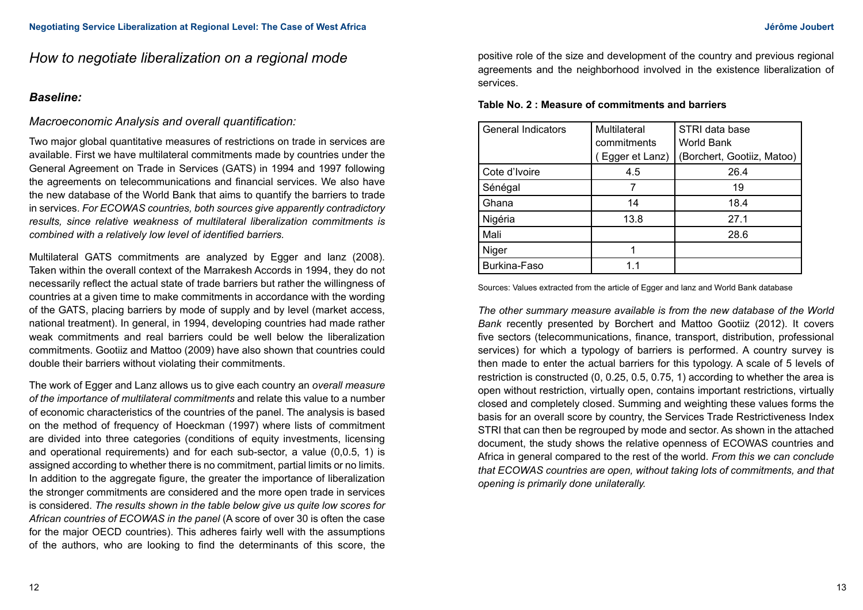# *How to negotiate liberalization on a regional mode*

## *Baseline:*

## *Macroeconomic Analysis and overall quantification:*

Two major global quantitative measures of restrictions on trade in services are available. First we have multilateral commitments made by countries under the General Agreement on Trade in Services (GATS) in 1994 and 1997 following the agreements on telecommunications and financial services. We also have the new database of the World Bank that aims to quantify the barriers to trade in services. *For ECOWAS countries, both sources give apparently contradictory results, since relative weakness of multilateral liberalization commitments is combined with a relatively low level of identified barriers.*

Multilateral GATS commitments are analyzed by Egger and lanz (2008). Taken within the overall context of the Marrakesh Accords in 1994, they do not necessarily reflect the actual state of trade barriers but rather the willingness of countries at a given time to make commitments in accordance with the wording of the GATS, placing barriers by mode of supply and by level (market access, national treatment). In general, in 1994, developing countries had made rather weak commitments and real barriers could be well below the liberalization commitments. Gootiiz and Mattoo (2009) have also shown that countries could double their barriers without violating their commitments.

The work of Egger and Lanz allows us to give each country an *overall measure of the importance of multilateral commitments* and relate this value to a number of economic characteristics of the countries of the panel. The analysis is based on the method of frequency of Hoeckman (1997) where lists of commitment are divided into three categories (conditions of equity investments, licensing and operational requirements) and for each sub-sector, a value (0,0.5, 1) is assigned according to whether there is no commitment, partial limits or no limits. In addition to the aggregate figure, the greater the importance of liberalization the stronger commitments are considered and the more open trade in services is considered. *The results shown in the table below give us quite low scores for African countries of ECOWAS in the panel* (A score of over 30 is often the case for the major OECD countries). This adheres fairly well with the assumptions of the authors, who are looking to find the determinants of this score, the

positive role of the size and development of the country and previous regional agreements and the neighborhood involved in the existence liberalization of services.

| Table No. 2 : Measure of commitments and barriers |  |  |
|---------------------------------------------------|--|--|
|---------------------------------------------------|--|--|

| <b>General Indicators</b> | Multilateral   | STRI data base             |
|---------------------------|----------------|----------------------------|
|                           | commitments    | <b>World Bank</b>          |
|                           | Egger et Lanz) | (Borchert, Gootiiz, Matoo) |
| Cote d'Ivoire             | 4.5            | 26.4                       |
| Sénégal                   |                | 19                         |
| Ghana                     | 14             | 18.4                       |
| Nigéria                   | 13.8           | 27.1                       |
| Mali                      |                | 28.6                       |
| Niger                     |                |                            |
| Burkina-Faso              | 11             |                            |

Sources: Values extracted from the article of Egger and lanz and World Bank database

*The other summary measure available is from the new database of the World Bank* recently presented by Borchert and Mattoo Gootiiz (2012). It covers five sectors (telecommunications, finance, transport, distribution, professional services) for which a typology of barriers is performed. A country survey is then made to enter the actual barriers for this typology. A scale of 5 levels of restriction is constructed (0, 0.25, 0.5, 0.75, 1) according to whether the area is open without restriction, virtually open, contains important restrictions, virtually closed and completely closed. Summing and weighting these values forms the basis for an overall score by country, the Services Trade Restrictiveness Index STRI that can then be regrouped by mode and sector. As shown in the attached document, the study shows the relative openness of ECOWAS countries and Africa in general compared to the rest of the world. *From this we can conclude that ECOWAS countries are open, without taking lots of commitments, and that opening is primarily done unilaterally.*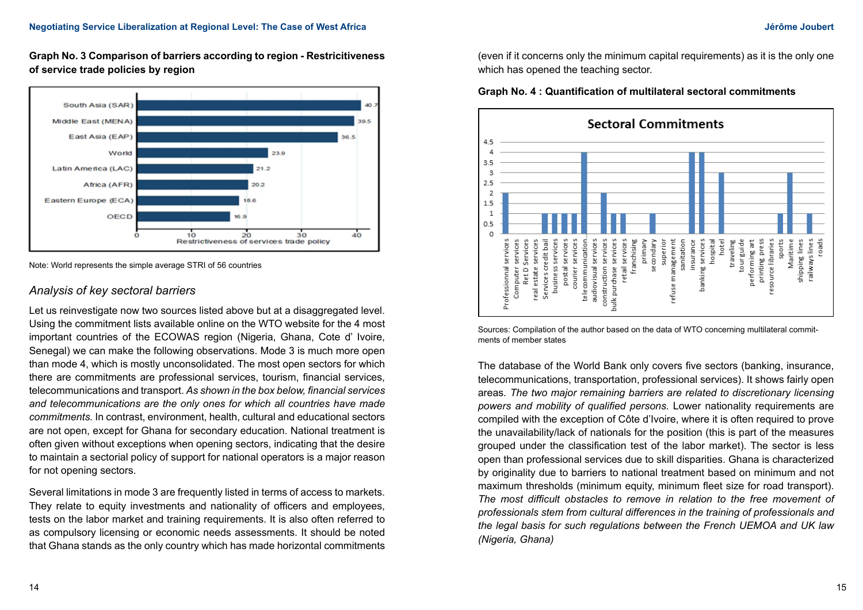**Graph No. 3 Comparison of barriers according to region - Restricitiveness of service trade policies by region**



Note: World represents the simple average STRI of 56 countries

## *Analysis of key sectoral barriers*

Let us reinvestigate now two sources listed above but at a disaggregated level. Using the commitment lists available online on the WTO website for the 4 most important countries of the ECOWAS region (Nigeria, Ghana, Cote d' Ivoire, Senegal) we can make the following observations. Mode 3 is much more open than mode 4, which is mostly unconsolidated. The most open sectors for which there are commitments are professional services, tourism, financial services, telecommunications and transport. *As shown in the box below, financial services and telecommunications are the only ones for which all countries have made commitments.* In contrast, environment, health, cultural and educational sectors are not open, except for Ghana for secondary education. National treatment is often given without exceptions when opening sectors, indicating that the desire to maintain a sectorial policy of support for national operators is a major reason for not opening sectors.

Several limitations in mode 3 are frequently listed in terms of access to markets. They relate to equity investments and nationality of officers and employees. tests on the labor market and training requirements. It is also often referred to as compulsory licensing or economic needs assessments. It should be noted that Ghana stands as the only country which has made horizontal commitments (even if it concerns only the minimum capital requirements) as it is the only one which has opened the teaching sector.





Sources: Compilation of the author based on the data of WTO concerning multilateral commitments of member states

The database of the World Bank only covers five sectors (banking, insurance, telecommunications, transportation, professional services). It shows fairly open areas*. The two major remaining barriers are related to discretionary licensing powers and mobility of qualified persons.* Lower nationality requirements are compiled with the exception of Côte d'Ivoire, where it is often required to prove the unavailability/lack of nationals for the position (this is part of the measures grouped under the classification test of the labor market). The sector is less open than professional services due to skill disparities. Ghana is characterized by originality due to barriers to national treatment based on minimum and not maximum thresholds (minimum equity, minimum fleet size for road transport). *The most difficult obstacles to remove in relation to the free movement of professionals stem from cultural differences in the training of professionals and the legal basis for such regulations between the French UEMOA and UK law (Nigeria, Ghana)*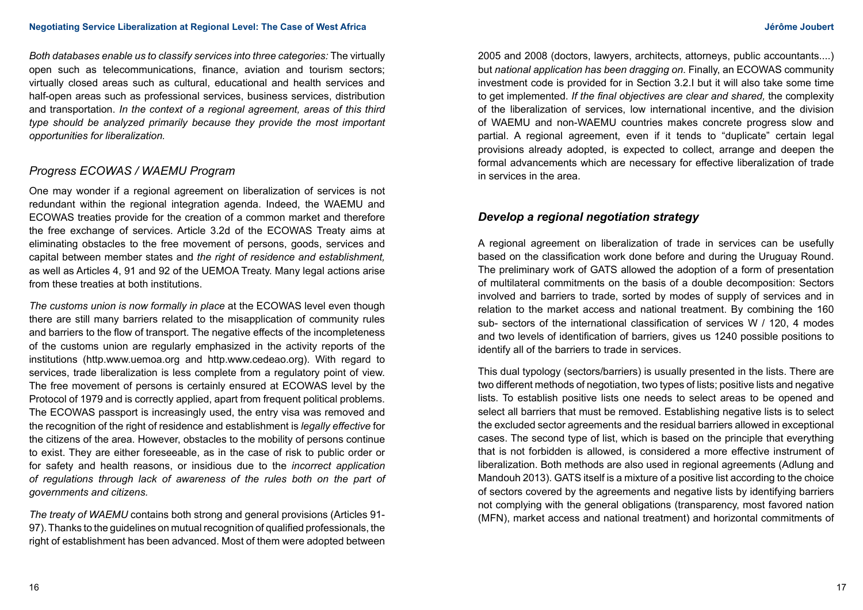*Both databases enable us to classify services into three categories:* The virtually open such as telecommunications, finance, aviation and tourism sectors; virtually closed areas such as cultural, educational and health services and half-open areas such as professional services, business services, distribution and transportation. *In the context of a regional agreement, areas of this third type should be analyzed primarily because they provide the most important opportunities for liberalization.*

# *Progress ECOWAS / WAEMU Program*

One may wonder if a regional agreement on liberalization of services is not redundant within the regional integration agenda. Indeed, the WAEMU and ECOWAS treaties provide for the creation of a common market and therefore the free exchange of services. Article 3.2d of the ECOWAS Treaty aims at eliminating obstacles to the free movement of persons, goods, services and capital between member states and *the right of residence and establishment,*  as well as Articles 4, 91 and 92 of the UEMOA Treaty. Many legal actions arise from these treaties at both institutions.

*The customs union is now formally in place* at the ECOWAS level even though there are still many barriers related to the misapplication of community rules and barriers to the flow of transport. The negative effects of the incompleteness of the customs union are regularly emphasized in the activity reports of the institutions (http.www.uemoa.org and http.www.cedeao.org). With regard to services, trade liberalization is less complete from a regulatory point of view. The free movement of persons is certainly ensured at ECOWAS level by the Protocol of 1979 and is correctly applied, apart from frequent political problems. The ECOWAS passport is increasingly used, the entry visa was removed and the recognition of the right of residence and establishment is *legally effective* for the citizens of the area. However, obstacles to the mobility of persons continue to exist. They are either foreseeable, as in the case of risk to public order or for safety and health reasons, or insidious due to the *incorrect application of regulations through lack of awareness of the rules both on the part of governments and citizens.*

*The treaty of WAEMU* contains both strong and general provisions (Articles 91- 97). Thanks to the guidelines on mutual recognition of qualified professionals, the right of establishment has been advanced. Most of them were adopted between

2005 and 2008 (doctors, lawyers, architects, attorneys, public accountants....) but *national application has been dragging on*. Finally, an ECOWAS community investment code is provided for in Section 3.2.I but it will also take some time to get implemented. *If the final objectives are clear and shared,* the complexity of the liberalization of services, low international incentive, and the division of WAEMU and non-WAEMU countries makes concrete progress slow and partial. A regional agreement, even if it tends to "duplicate" certain legal provisions already adopted, is expected to collect, arrange and deepen the formal advancements which are necessary for effective liberalization of trade in services in the area.

# *Develop a regional negotiation strategy*

A regional agreement on liberalization of trade in services can be usefully based on the classification work done before and during the Uruguay Round. The preliminary work of GATS allowed the adoption of a form of presentation of multilateral commitments on the basis of a double decomposition: Sectors involved and barriers to trade, sorted by modes of supply of services and in relation to the market access and national treatment. By combining the 160 sub- sectors of the international classification of services W / 120, 4 modes and two levels of identification of barriers, gives us 1240 possible positions to identify all of the barriers to trade in services.

This dual typology (sectors/barriers) is usually presented in the lists. There are two different methods of negotiation, two types of lists; positive lists and negative lists. To establish positive lists one needs to select areas to be opened and select all barriers that must be removed. Establishing negative lists is to select the excluded sector agreements and the residual barriers allowed in exceptional cases. The second type of list, which is based on the principle that everything that is not forbidden is allowed, is considered a more effective instrument of liberalization. Both methods are also used in regional agreements (Adlung and Mandouh 2013). GATS itself is a mixture of a positive list according to the choice of sectors covered by the agreements and negative lists by identifying barriers not complying with the general obligations (transparency, most favored nation (MFN), market access and national treatment) and horizontal commitments of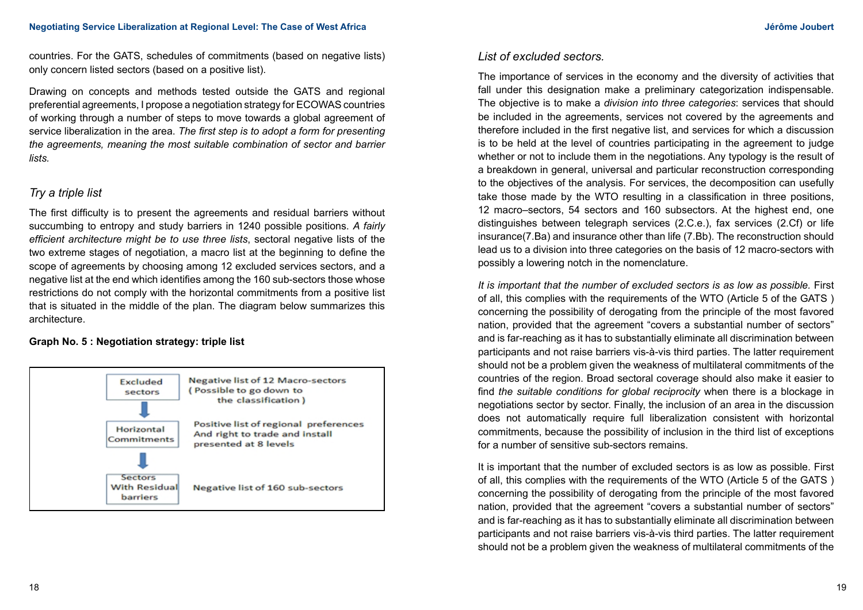countries. For the GATS, schedules of commitments (based on negative lists) only concern listed sectors (based on a positive list).

Drawing on concepts and methods tested outside the GATS and regional preferential agreements, I propose a negotiation strategy for ECOWAS countries of working through a number of steps to move towards a global agreement of service liberalization in the area. *The first step is to adopt a form for presenting the agreements, meaning the most suitable combination of sector and barrier lists.*

# *Try a triple list*

The first difficulty is to present the agreements and residual barriers without succumbing to entropy and study barriers in 1240 possible positions. *A fairly efficient architecture might be to use three lists*, sectoral negative lists of the two extreme stages of negotiation, a macro list at the beginning to define the scope of agreements by choosing among 12 excluded services sectors, and a negative list at the end which identifies among the 160 sub-sectors those whose restrictions do not comply with the horizontal commitments from a positive list that is situated in the middle of the plan. The diagram below summarizes this architecture.

## **Graph No. 5 : Negotiation strategy: triple list**



# *List of excluded sectors.*

The importance of services in the economy and the diversity of activities that fall under this designation make a preliminary categorization indispensable. The objective is to make a *division into three categories*: services that should be included in the agreements, services not covered by the agreements and therefore included in the first negative list, and services for which a discussion is to be held at the level of countries participating in the agreement to judge whether or not to include them in the negotiations. Any typology is the result of a breakdown in general, universal and particular reconstruction corresponding to the objectives of the analysis. For services, the decomposition can usefully take those made by the WTO resulting in a classification in three positions, 12 macro–sectors, 54 sectors and 160 subsectors. At the highest end, one distinguishes between telegraph services (2.C.e.), fax services (2.Cf) or life insurance(7.Ba) and insurance other than life (7.Bb). The reconstruction should lead us to a division into three categories on the basis of 12 macro-sectors with possibly a lowering notch in the nomenclature.

*It is important that the number of excluded sectors is as low as possible.* First of all, this complies with the requirements of the WTO (Article 5 of the GATS ) concerning the possibility of derogating from the principle of the most favored nation, provided that the agreement "covers a substantial number of sectors" and is far-reaching as it has to substantially eliminate all discrimination between participants and not raise barriers vis-à-vis third parties. The latter requirement should not be a problem given the weakness of multilateral commitments of the countries of the region. Broad sectoral coverage should also make it easier to find *the suitable conditions for global reciprocity* when there is a blockage in negotiations sector by sector. Finally, the inclusion of an area in the discussion does not automatically require full liberalization consistent with horizontal commitments, because the possibility of inclusion in the third list of exceptions for a number of sensitive sub-sectors remains.

It is important that the number of excluded sectors is as low as possible. First of all, this complies with the requirements of the WTO (Article 5 of the GATS ) concerning the possibility of derogating from the principle of the most favored nation, provided that the agreement "covers a substantial number of sectors" and is far-reaching as it has to substantially eliminate all discrimination between participants and not raise barriers vis-à-vis third parties. The latter requirement should not be a problem given the weakness of multilateral commitments of the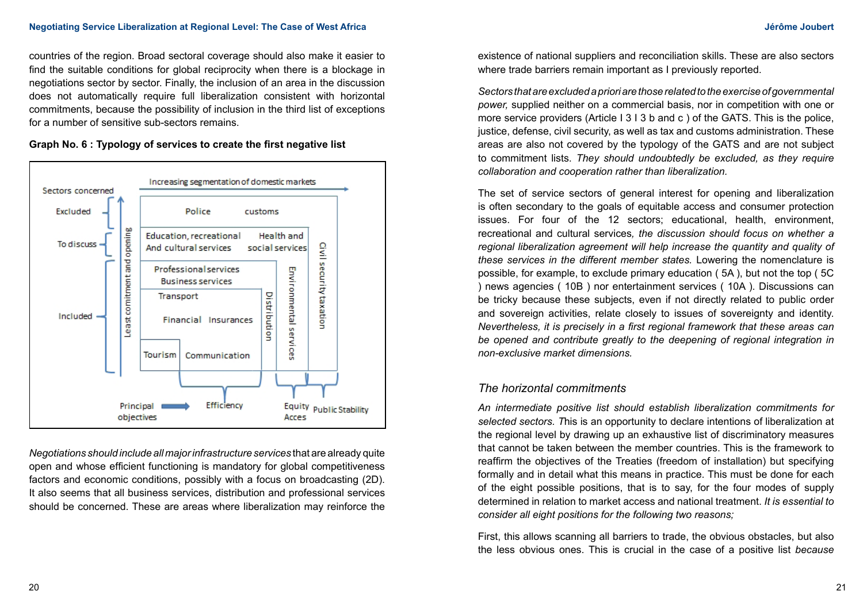countries of the region. Broad sectoral coverage should also make it easier to find the suitable conditions for global reciprocity when there is a blockage in negotiations sector by sector. Finally, the inclusion of an area in the discussion does not automatically require full liberalization consistent with horizontal commitments, because the possibility of inclusion in the third list of exceptions for a number of sensitive sub-sectors remains.

### **Graph No. 6 : Typology of services to create the first negative list**



*Negotiations should include all major infrastructure services* that are already quite open and whose efficient functioning is mandatory for global competitiveness factors and economic conditions, possibly with a focus on broadcasting (2D). It also seems that all business services, distribution and professional services should be concerned. These are areas where liberalization may reinforce the

existence of national suppliers and reconciliation skills. These are also sectors where trade barriers remain important as I previously reported.

*Sectors that are excluded a priori are those related to the exercise of governmental power,* supplied neither on a commercial basis, nor in competition with one or more service providers (Article I 3 I 3 b and c ) of the GATS. This is the police, justice, defense, civil security, as well as tax and customs administration. These areas are also not covered by the typology of the GATS and are not subject to commitment lists. *They should undoubtedly be excluded, as they require collaboration and cooperation rather than liberalization.* 

The set of service sectors of general interest for opening and liberalization is often secondary to the goals of equitable access and consumer protection issues. For four of the 12 sectors; educational, health, environment, recreational and cultural services*, the discussion should focus on whether a regional liberalization agreement will help increase the quantity and quality of these services in the different member states.* Lowering the nomenclature is possible, for example, to exclude primary education ( 5A ), but not the top ( 5C ) news agencies ( 10B ) nor entertainment services ( 10A ). Discussions can be tricky because these subjects, even if not directly related to public order and sovereign activities, relate closely to issues of sovereignty and identity. *Nevertheless, it is precisely in a first regional framework that these areas can*  be opened and contribute greatly to the deepening of regional integration in *non-exclusive market dimensions.*

## *The horizontal commitments*

*An intermediate positive list should establish liberalization commitments for selected sectors. T*his is an opportunity to declare intentions of liberalization at the regional level by drawing up an exhaustive list of discriminatory measures that cannot be taken between the member countries. This is the framework to reaffirm the objectives of the Treaties (freedom of installation) but specifying formally and in detail what this means in practice. This must be done for each of the eight possible positions, that is to say, for the four modes of supply determined in relation to market access and national treatment. *It is essential to consider all eight positions for the following two reasons;*

First, this allows scanning all barriers to trade, the obvious obstacles, but also the less obvious ones. This is crucial in the case of a positive list *because*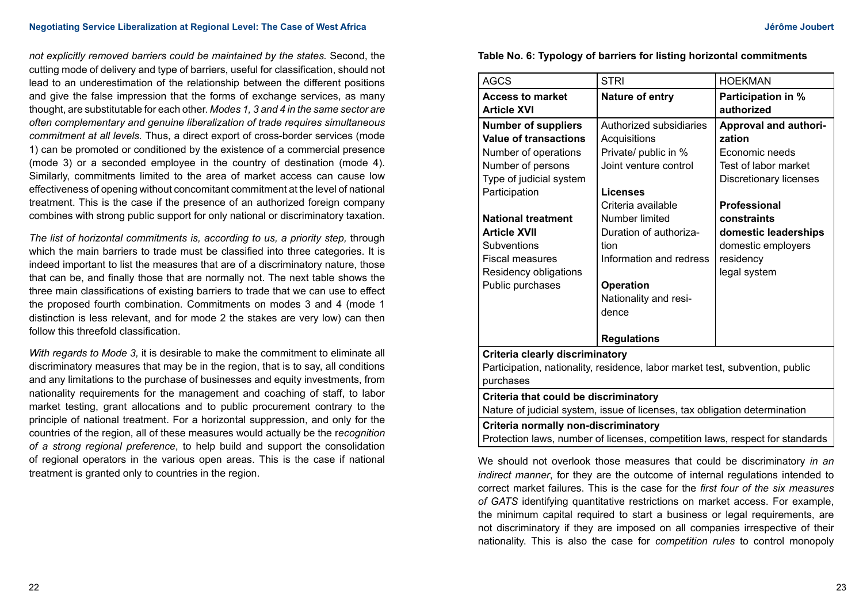#### **Negotiating Service Liberalization at Regional Level: The Case of West Africa Jérôme Joubert Africa Jérôme Joubert**

*not explicitly removed barriers could be maintained by the states.* Second, the cutting mode of delivery and type of barriers, useful for classification, should not lead to an underestimation of the relationship between the different positions and give the false impression that the forms of exchange services, as many thought, are substitutable for each other. *Modes 1, 3 and 4 in the same sector are often complementary and genuine liberalization of trade requires simultaneous commitment at all levels.* Thus, a direct export of cross-border services (mode 1) can be promoted or conditioned by the existence of a commercial presence (mode 3) or a seconded employee in the country of destination (mode 4). Similarly, commitments limited to the area of market access can cause low effectiveness of opening without concomitant commitment at the level of national treatment. This is the case if the presence of an authorized foreign company combines with strong public support for only national or discriminatory taxation.

*The list of horizontal commitments is, according to us, a priority step,* through which the main barriers to trade must be classified into three categories. It is indeed important to list the measures that are of a discriminatory nature, those that can be, and finally those that are normally not. The next table shows the three main classifications of existing barriers to trade that we can use to effect the proposed fourth combination. Commitments on modes 3 and 4 (mode 1 distinction is less relevant, and for mode 2 the stakes are very low) can then follow this threefold classification.

*With regards to Mode 3,* it is desirable to make the commitment to eliminate all discriminatory measures that may be in the region, that is to say, all conditions and any limitations to the purchase of businesses and equity investments, from nationality requirements for the management and coaching of staff, to labor market testing, grant allocations and to public procurement contrary to the principle of national treatment. For a horizontal suppression, and only for the countries of the region, all of these measures would actually be the r*ecognition of a strong regional preference*, to help build and support the consolidation of regional operators in the various open areas. This is the case if national treatment is granted only to countries in the region.

### **Table No. 6: Typology of barriers for listing horizontal commitments**

| <b>AGCS</b>                                                                  | <b>STRI</b>             | <b>HOEKMAN</b>               |  |  |  |
|------------------------------------------------------------------------------|-------------------------|------------------------------|--|--|--|
| <b>Access to market</b>                                                      | Nature of entry         | <b>Participation in %</b>    |  |  |  |
| <b>Article XVI</b>                                                           |                         | authorized                   |  |  |  |
| <b>Number of suppliers</b>                                                   | Authorized subsidiaries | <b>Approval and authori-</b> |  |  |  |
| <b>Value of transactions</b>                                                 | Acquisitions            | zation                       |  |  |  |
| Number of operations                                                         | Private/ public in %    | Economic needs               |  |  |  |
| Number of persons                                                            | Joint venture control   | Test of labor market         |  |  |  |
| Type of judicial system                                                      |                         | Discretionary licenses       |  |  |  |
| Participation                                                                | Licenses                |                              |  |  |  |
|                                                                              | Criteria available      | <b>Professional</b>          |  |  |  |
| <b>National treatment</b>                                                    | Number limited          | constraints                  |  |  |  |
| <b>Article XVII</b>                                                          | Duration of authoriza-  | domestic leaderships         |  |  |  |
| Subventions                                                                  | tion                    | domestic employers           |  |  |  |
| <b>Fiscal measures</b>                                                       | Information and redress | residency                    |  |  |  |
| Residency obligations                                                        |                         | legal system                 |  |  |  |
| Public purchases                                                             | <b>Operation</b>        |                              |  |  |  |
|                                                                              | Nationality and resi-   |                              |  |  |  |
|                                                                              | dence                   |                              |  |  |  |
|                                                                              |                         |                              |  |  |  |
|                                                                              | <b>Regulations</b>      |                              |  |  |  |
| Criteria clearly discriminatory                                              |                         |                              |  |  |  |
| Participation, nationality, residence, labor market test, subvention, public |                         |                              |  |  |  |
| purchases                                                                    |                         |                              |  |  |  |
| Criteria that could be discriminatory                                        |                         |                              |  |  |  |
| Nature of judicial system, issue of licenses, tax obligation determination   |                         |                              |  |  |  |
| Criteria normally non-discriminatory                                         |                         |                              |  |  |  |
| Protection laws, number of licenses, competition laws, respect for standards |                         |                              |  |  |  |

We should not overlook those measures that could be discriminatory *in an indirect manner*, for they are the outcome of internal regulations intended to correct market failures. This is the case for the *first four of the six measures of GATS* identifying quantitative restrictions on market access. For example, the minimum capital required to start a business or legal requirements, are not discriminatory if they are imposed on all companies irrespective of their nationality. This is also the case for *competition rules* to control monopoly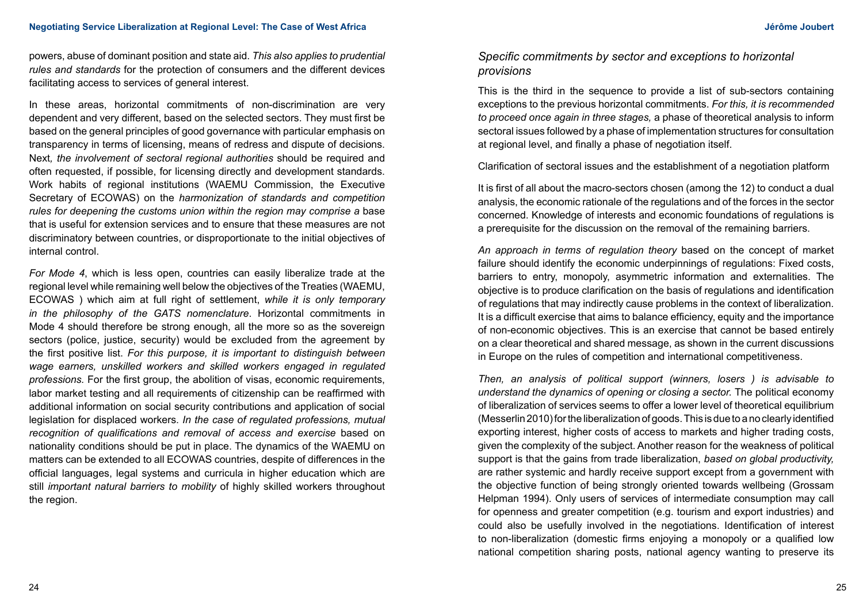powers, abuse of dominant position and state aid. *This also applies to prudential rules and standards* for the protection of consumers and the different devices facilitating access to services of general interest.

In these areas, horizontal commitments of non-discrimination are very dependent and very different, based on the selected sectors. They must first be based on the general principles of good governance with particular emphasis on transparency in terms of licensing, means of redress and dispute of decisions. Next*, the involvement of sectoral regional authorities* should be required and often requested, if possible, for licensing directly and development standards. Work habits of regional institutions (WAEMU Commission, the Executive Secretary of ECOWAS) on the *harmonization of standards and competition rules for deepening the customs union within the region may comprise a base* that is useful for extension services and to ensure that these measures are not discriminatory between countries, or disproportionate to the initial objectives of internal control.

*For Mode 4*, which is less open, countries can easily liberalize trade at the regional level while remaining well below the objectives of the Treaties (WAEMU, ECOWAS ) which aim at full right of settlement, *while it is only temporary in the philosophy of the GATS nomenclature*. Horizontal commitments in Mode 4 should therefore be strong enough, all the more so as the sovereign sectors (police, justice, security) would be excluded from the agreement by the first positive list. *For this purpose, it is important to distinguish between wage earners, unskilled workers and skilled workers engaged in regulated professions.* For the first group, the abolition of visas, economic requirements, labor market testing and all requirements of citizenship can be reaffirmed with additional information on social security contributions and application of social legislation for displaced workers. *In the case of regulated professions, mutual recognition of qualifications and removal of access and exercise* based on nationality conditions should be put in place. The dynamics of the WAEMU on matters can be extended to all ECOWAS countries, despite of differences in the official languages, legal systems and curricula in higher education which are still *important natural barriers to mobility* of highly skilled workers throughout the region.

# *Specific commitments by sector and exceptions to horizontal provisions*

This is the third in the sequence to provide a list of sub-sectors containing exceptions to the previous horizontal commitments. *For this, it is recommended to proceed once again in three stages,* a phase of theoretical analysis to inform sectoral issues followed by a phase of implementation structures for consultation at regional level, and finally a phase of negotiation itself.

Clarification of sectoral issues and the establishment of a negotiation platform

It is first of all about the macro-sectors chosen (among the 12) to conduct a dual analysis, the economic rationale of the regulations and of the forces in the sector concerned. Knowledge of interests and economic foundations of regulations is a prerequisite for the discussion on the removal of the remaining barriers.

*An approach in terms of regulation theory* based on the concept of market failure should identify the economic underpinnings of regulations: Fixed costs, barriers to entry, monopoly, asymmetric information and externalities. The objective is to produce clarification on the basis of regulations and identification of regulations that may indirectly cause problems in the context of liberalization. It is a difficult exercise that aims to balance efficiency, equity and the importance of non-economic objectives. This is an exercise that cannot be based entirely on a clear theoretical and shared message, as shown in the current discussions in Europe on the rules of competition and international competitiveness.

*Then, an analysis of political support (winners, losers ) is advisable to understand the dynamics of opening or closing a sector.* The political economy of liberalization of services seems to offer a lower level of theoretical equilibrium (Messerlin 2010) for the liberalization of goods. This is due to a no clearly identified exporting interest, higher costs of access to markets and higher trading costs, given the complexity of the subject. Another reason for the weakness of political support is that the gains from trade liberalization, *based on global productivity,*  are rather systemic and hardly receive support except from a government with the objective function of being strongly oriented towards wellbeing (Grossam Helpman 1994). Only users of services of intermediate consumption may call for openness and greater competition (e.g. tourism and export industries) and could also be usefully involved in the negotiations. Identification of interest to non-liberalization (domestic firms enjoying a monopoly or a qualified low national competition sharing posts, national agency wanting to preserve its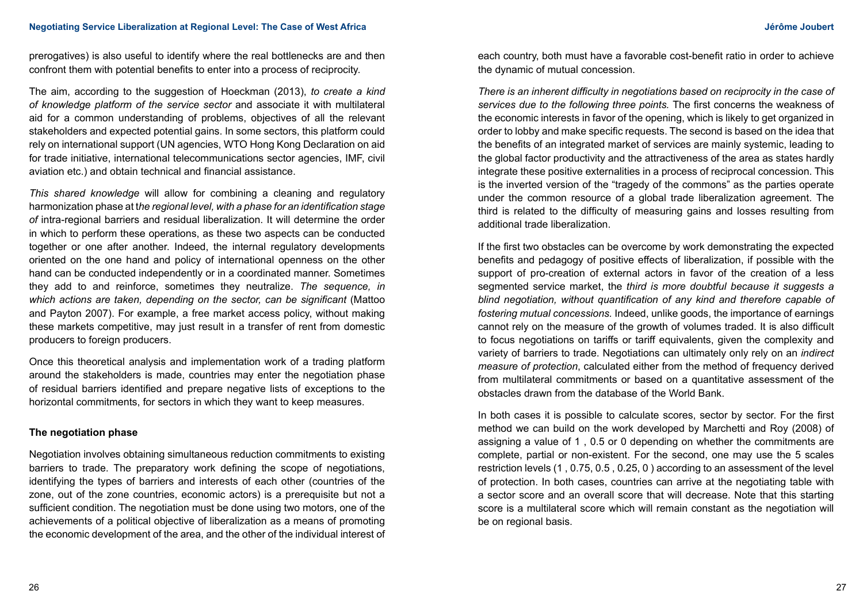prerogatives) is also useful to identify where the real bottlenecks are and then confront them with potential benefits to enter into a process of reciprocity.

The aim, according to the suggestion of Hoeckman (2013), *to create a kind of knowledge platform of the service sector* and associate it with multilateral aid for a common understanding of problems, objectives of all the relevant stakeholders and expected potential gains. In some sectors, this platform could rely on international support (UN agencies, WTO Hong Kong Declaration on aid for trade initiative, international telecommunications sector agencies, IMF, civil aviation etc.) and obtain technical and financial assistance.

*This shared knowledge* will allow for combining a cleaning and regulatory harmonization phase at t*he regional level, with a phase for an identification stage of* intra-regional barriers and residual liberalization. It will determine the order in which to perform these operations, as these two aspects can be conducted together or one after another. Indeed, the internal regulatory developments oriented on the one hand and policy of international openness on the other hand can be conducted independently or in a coordinated manner. Sometimes they add to and reinforce, sometimes they neutralize. *The sequence, in which actions are taken, depending on the sector, can be significant* (Mattoo and Payton 2007). For example, a free market access policy, without making these markets competitive, may just result in a transfer of rent from domestic producers to foreign producers.

Once this theoretical analysis and implementation work of a trading platform around the stakeholders is made, countries may enter the negotiation phase of residual barriers identified and prepare negative lists of exceptions to the horizontal commitments, for sectors in which they want to keep measures.

## **The negotiation phase**

Negotiation involves obtaining simultaneous reduction commitments to existing barriers to trade. The preparatory work defining the scope of negotiations, identifying the types of barriers and interests of each other (countries of the zone, out of the zone countries, economic actors) is a prerequisite but not a sufficient condition. The negotiation must be done using two motors, one of the achievements of a political objective of liberalization as a means of promoting the economic development of the area, and the other of the individual interest of each country, both must have a favorable cost-benefit ratio in order to achieve the dynamic of mutual concession.

*There is an inherent difficulty in negotiations based on reciprocity in the case of services due to the following three points.* The first concerns the weakness of the economic interests in favor of the opening, which is likely to get organized in order to lobby and make specific requests. The second is based on the idea that the benefits of an integrated market of services are mainly systemic, leading to the global factor productivity and the attractiveness of the area as states hardly integrate these positive externalities in a process of reciprocal concession. This is the inverted version of the "tragedy of the commons" as the parties operate under the common resource of a global trade liberalization agreement. The third is related to the difficulty of measuring gains and losses resulting from additional trade liberalization.

If the first two obstacles can be overcome by work demonstrating the expected benefits and pedagogy of positive effects of liberalization, if possible with the support of pro-creation of external actors in favor of the creation of a less segmented service market, the *third is more doubtful because it suggests a blind negotiation, without quantification of any kind and therefore capable of fostering mutual concessions.* Indeed, unlike goods, the importance of earnings cannot rely on the measure of the growth of volumes traded. It is also difficult to focus negotiations on tariffs or tariff equivalents, given the complexity and variety of barriers to trade. Negotiations can ultimately only rely on an *indirect measure of protection*, calculated either from the method of frequency derived from multilateral commitments or based on a quantitative assessment of the obstacles drawn from the database of the World Bank.

In both cases it is possible to calculate scores, sector by sector. For the first method we can build on the work developed by Marchetti and Roy (2008) of assigning a value of 1 , 0.5 or 0 depending on whether the commitments are complete, partial or non-existent. For the second, one may use the 5 scales restriction levels (1 , 0.75, 0.5 , 0.25, 0 ) according to an assessment of the level of protection. In both cases, countries can arrive at the negotiating table with a sector score and an overall score that will decrease. Note that this starting score is a multilateral score which will remain constant as the negotiation will be on regional basis.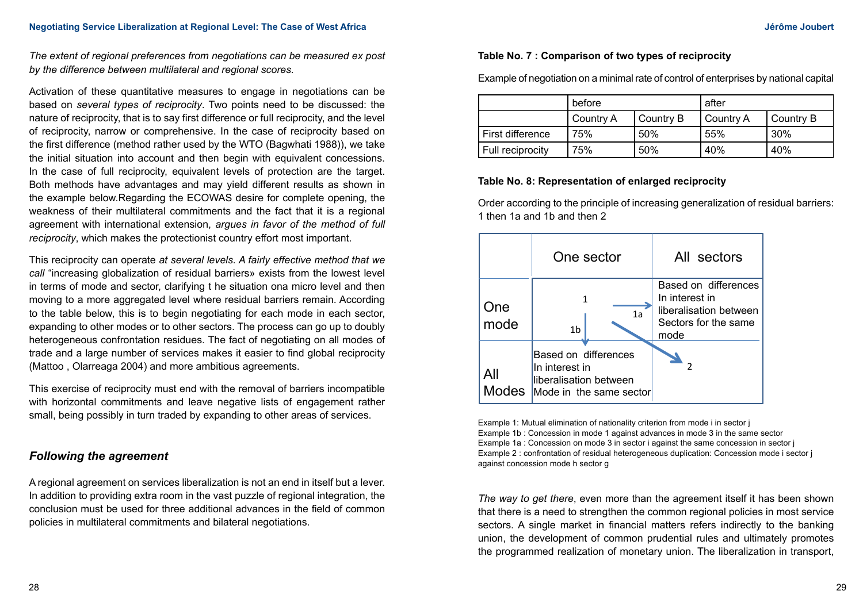*The extent of regional preferences from negotiations can be measured ex post by the difference between multilateral and regional scores.*

Activation of these quantitative measures to engage in negotiations can be based on *several types of reciprocity*. Two points need to be discussed: the nature of reciprocity, that is to say first difference or full reciprocity, and the level of reciprocity, narrow or comprehensive. In the case of reciprocity based on the first difference (method rather used by the WTO (Bagwhati 1988)), we take the initial situation into account and then begin with equivalent concessions. In the case of full reciprocity, equivalent levels of protection are the target. Both methods have advantages and may yield different results as shown in the example below.Regarding the ECOWAS desire for complete opening, the weakness of their multilateral commitments and the fact that it is a regional agreement with international extension, *argues in favor of the method of full reciprocity*, which makes the protectionist country effort most important.

This reciprocity can operate *at several levels. A fairly effective method that we call* "increasing globalization of residual barriers» exists from the lowest level in terms of mode and sector, clarifying t he situation ona micro level and then moving to a more aggregated level where residual barriers remain. According to the table below, this is to begin negotiating for each mode in each sector, expanding to other modes or to other sectors. The process can go up to doubly heterogeneous confrontation residues. The fact of negotiating on all modes of trade and a large number of services makes it easier to find global reciprocity (Mattoo , Olarreaga 2004) and more ambitious agreements.

This exercise of reciprocity must end with the removal of barriers incompatible with horizontal commitments and leave negative lists of engagement rather small, being possibly in turn traded by expanding to other areas of services.

# *Following the agreement*

A regional agreement on services liberalization is not an end in itself but a lever. In addition to providing extra room in the vast puzzle of regional integration, the conclusion must be used for three additional advances in the field of common policies in multilateral commitments and bilateral negotiations.

## **Table No. 7 : Comparison of two types of reciprocity**

Example of negotiation on a minimal rate of control of enterprises by national capital

|                  | before    |           | after     |           |
|------------------|-----------|-----------|-----------|-----------|
|                  | Country A | Country B | Country A | Country B |
| First difference | 75%       | 50%       | 55%       | 30%       |
| Full reciprocity | 75%       | 50%       | 40%       | 40%       |

## **Table No. 8: Representation of enlarged reciprocity**

Order according to the principle of increasing generalization of residual barriers: 1 then 1a and 1b and then 2

|                     | One sector                                                                                  | All sectors                                                                                      |
|---------------------|---------------------------------------------------------------------------------------------|--------------------------------------------------------------------------------------------------|
| One<br>mode         | 1<br>1a<br>1 <sub>b</sub>                                                                   | Based on differences<br>In interest in<br>liberalisation between<br>Sectors for the same<br>mode |
| All<br><b>Modes</b> | Based on differences<br>In interest in<br>liberalisation between<br>Mode in the same sector |                                                                                                  |

Example 1: Mutual elimination of nationality criterion from mode i in sector j Example 1b : Concession in mode 1 against advances in mode 3 in the same sector Example 1a : Concession on mode 3 in sector i against the same concession in sector j Example 2 : confrontation of residual heterogeneous duplication: Concession mode i sector j against concession mode h sector g

*The way to get there*, even more than the agreement itself it has been shown that there is a need to strengthen the common regional policies in most service sectors. A single market in financial matters refers indirectly to the banking union, the development of common prudential rules and ultimately promotes the programmed realization of monetary union. The liberalization in transport,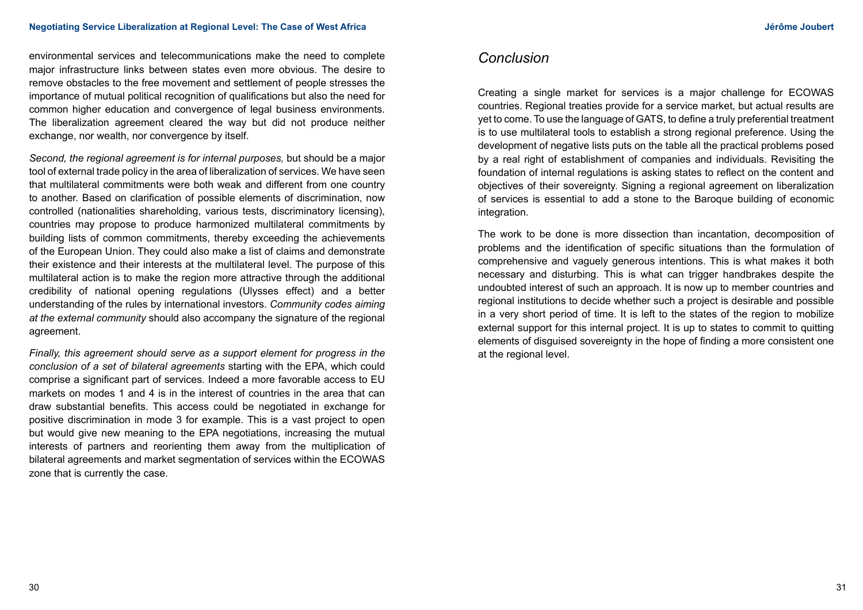environmental services and telecommunications make the need to complete major infrastructure links between states even more obvious. The desire to remove obstacles to the free movement and settlement of people stresses the importance of mutual political recognition of qualifications but also the need for common higher education and convergence of legal business environments. The liberalization agreement cleared the way but did not produce neither exchange, nor wealth, nor convergence by itself.

*Second, the regional agreement is for internal purposes,* but should be a major tool of external trade policy in the area of liberalization of services. We have seen that multilateral commitments were both weak and different from one country to another. Based on clarification of possible elements of discrimination, now controlled (nationalities shareholding, various tests, discriminatory licensing), countries may propose to produce harmonized multilateral commitments by building lists of common commitments, thereby exceeding the achievements of the European Union. They could also make a list of claims and demonstrate their existence and their interests at the multilateral level. The purpose of this multilateral action is to make the region more attractive through the additional credibility of national opening regulations (Ulysses effect) and a better understanding of the rules by international investors. *Community codes aiming at the external community* should also accompany the signature of the regional agreement.

*Finally, this agreement should serve as a support element for progress in the conclusion of a set of bilateral agreements* starting with the EPA, which could comprise a significant part of services. Indeed a more favorable access to EU markets on modes 1 and 4 is in the interest of countries in the area that can draw substantial benefits. This access could be negotiated in exchange for positive discrimination in mode 3 for example. This is a vast project to open but would give new meaning to the EPA negotiations, increasing the mutual interests of partners and reorienting them away from the multiplication of bilateral agreements and market segmentation of services within the ECOWAS zone that is currently the case.

# *Conclusion*

Creating a single market for services is a major challenge for ECOWAS countries. Regional treaties provide for a service market, but actual results are yet to come. To use the language of GATS, to define a truly preferential treatment is to use multilateral tools to establish a strong regional preference. Using the development of negative lists puts on the table all the practical problems posed by a real right of establishment of companies and individuals. Revisiting the foundation of internal regulations is asking states to reflect on the content and objectives of their sovereignty. Signing a regional agreement on liberalization of services is essential to add a stone to the Baroque building of economic integration.

The work to be done is more dissection than incantation, decomposition of problems and the identification of specific situations than the formulation of comprehensive and vaguely generous intentions. This is what makes it both necessary and disturbing. This is what can trigger handbrakes despite the undoubted interest of such an approach. It is now up to member countries and regional institutions to decide whether such a project is desirable and possible in a very short period of time. It is left to the states of the region to mobilize external support for this internal project. It is up to states to commit to quitting elements of disguised sovereignty in the hope of finding a more consistent one at the regional level.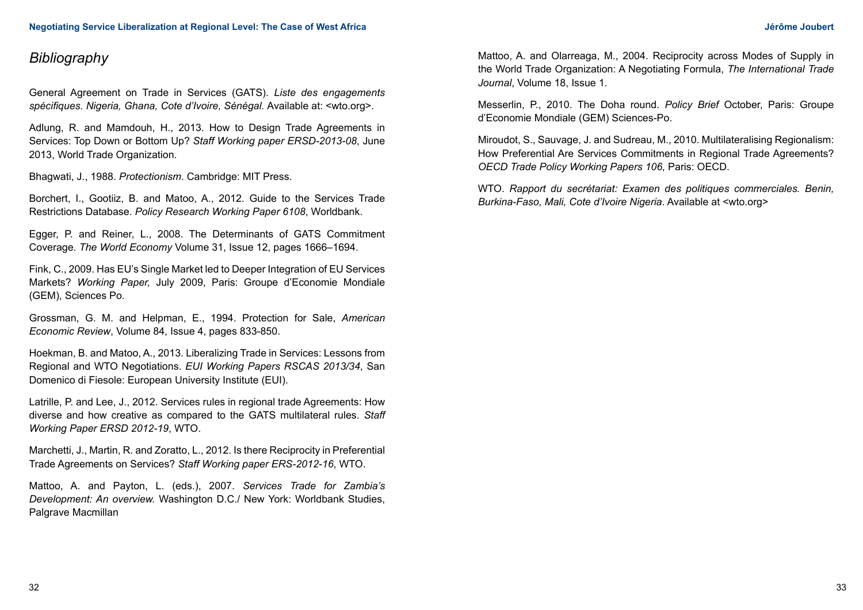# *Bibliography*

General Agreement on Trade in Services (GATS). *Liste des engagements spécifiques. Nigeria, Ghana, Cote d'Ivoire, Sénégal.* Available at: <wto.org>.

Adlung, R. and Mamdouh, H., 2013. How to Design Trade Agreements in Services: Top Down or Bottom Up? *Staff Working paper ERSD-2013-08*, June 2013, World Trade Organization.

Bhagwati, J., 1988. *Protectionism*. Cambridge: MIT Press.

Borchert, I., Gootiiz, B. and Matoo, A., 2012. Guide to the Services Trade Restrictions Database. *Policy Research Working Paper 6108*, Worldbank.

Egger, P. and Reiner, L., 2008. The Determinants of GATS Commitment Coverage. *The World Economy* Volume 31, Issue 12, pages 1666–1694.

Fink, C., 2009. Has EU's Single Market led to Deeper Integration of EU Services Markets? *Working Paper,* July 2009, Paris: Groupe d'Economie Mondiale (GEM), Sciences Po.

Grossman, G. M. and Helpman, E., 1994. Protection for Sale, *American Economic Review*, Volume 84, Issue 4, pages 833-850.

Hoekman, B. and Matoo, A., 2013. Liberalizing Trade in Services: Lessons from Regional and WTO Negotiations. *EUI Working Papers RSCAS 2013/34*, San Domenico di Fiesole: European University Institute (EUI).

Latrille, P. and Lee, J., 2012. Services rules in regional trade Agreements: How diverse and how creative as compared to the GATS multilateral rules. *Staff Working Paper ERSD 2012-19*, WTO.

Marchetti, J., Martin, R. and Zoratto, L., 2012. Is there Reciprocity in Preferential Trade Agreements on Services? *Staff Working paper ERS-2012-16*, WTO.

Mattoo, A. and Payton, L. (eds.), 2007. *Services Trade for Zambia's Development: An overview.* Washington D.C./ New York: Worldbank Studies, Palgrave Macmillan

Mattoo, A. and Olarreaga, M., 2004. Reciprocity across Modes of Supply in the World Trade Organization: A Negotiating Formula, *The International Trade Journal*, Volume 18, Issue 1.

Messerlin, P., 2010. The Doha round. *Policy Brief* October, Paris: Groupe d'Economie Mondiale (GEM) Sciences-Po.

Miroudot, S., Sauvage, J. and Sudreau, M., 2010. Multilateralising Regionalism: How Preferential Are Services Commitments in Regional Trade Agreements? *OECD Trade Policy Working Papers 106,* Paris: OECD.

WTO. *Rapport du secrétariat: Examen des politiques commerciales. Benin, Burkina-Faso, Mali, Cote d'Ivoire Nigeria*. Available at <wto.org>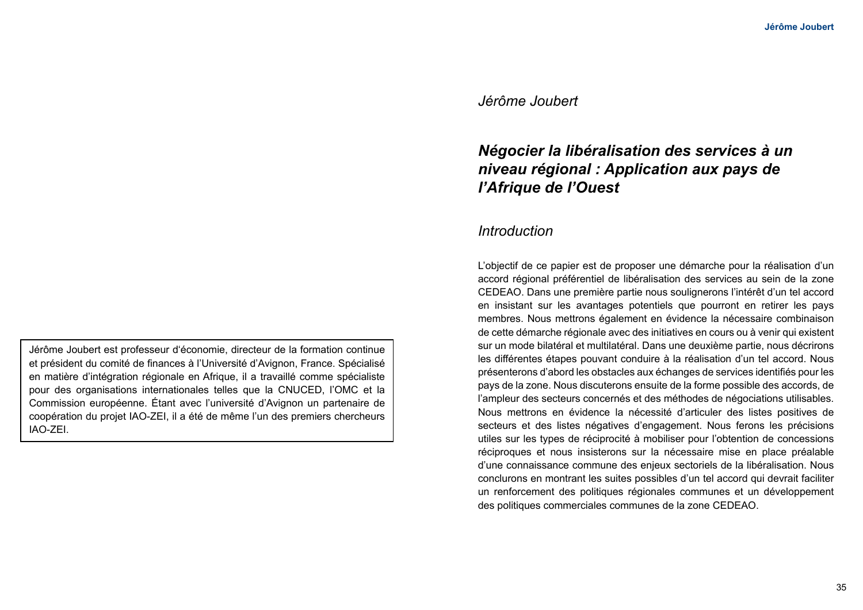# *Jérôme Joubert*

# *Négocier la libéralisation des services à un niveau régional : Application aux pays de l'Afrique de l'Ouest*

# *Introduction*

L'objectif de ce papier est de proposer une démarche pour la réalisation d'un accord régional préférentiel de libéralisation des services au sein de la zone CEDEAO. Dans une première partie nous soulignerons l'intérêt d'un tel accord en insistant sur les avantages potentiels que pourront en retirer les pays membres. Nous mettrons également en évidence la nécessaire combinaison de cette démarche régionale avec des initiatives en cours ou à venir qui existent sur un mode bilatéral et multilatéral. Dans une deuxième partie, nous décrirons les différentes étapes pouvant conduire à la réalisation d'un tel accord. Nous présenterons d'abord les obstacles aux échanges de services identifiés pour les pays de la zone. Nous discuterons ensuite de la forme possible des accords, de l'ampleur des secteurs concernés et des méthodes de négociations utilisables. Nous mettrons en évidence la nécessité d'articuler des listes positives de secteurs et des listes négatives d'engagement. Nous ferons les précisions utiles sur les types de réciprocité à mobiliser pour l'obtention de concessions réciproques et nous insisterons sur la nécessaire mise en place préalable d'une connaissance commune des enjeux sectoriels de la libéralisation. Nous conclurons en montrant les suites possibles d'un tel accord qui devrait faciliter un renforcement des politiques régionales communes et un développement des politiques commerciales communes de la zone CEDEAO.

Jérôme Joubert est professeur d'économie, directeur de la formation continue et président du comité de finances à l'Université d'Avignon, France. Spécialisé en matière d'intégration régionale en Afrique, il a travaillé comme spécialiste pour des organisations internationales telles que la CNUCED, l'OMC et la Commission européenne. Étant avec l'université d'Avignon un partenaire de coopération du projet IAO-ZEI, il a été de même l'un des premiers chercheurs IAO-ZEI.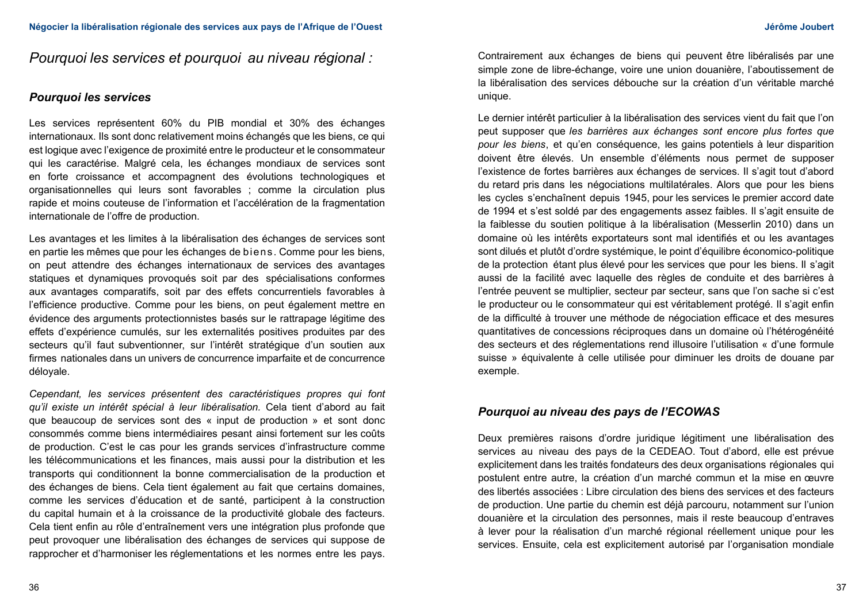# *Pourquoi les services et pourquoi au niveau régional :*

### *Pourquoi les services*

Les services représentent 60% du PIB mondial et 30% des échanges internationaux. Ils sont donc relativement moins échangés que les biens, ce qui est logique avec l'exigence de proximité entre le producteur et le consommateur qui les caractérise. Malgré cela, les échanges mondiaux de services sont en forte croissance et accompagnent des évolutions technologiques et organisationnelles qui leurs sont favorables ; comme la circulation plus rapide et moins couteuse de l'information et l'accélération de la fragmentation internationale de l'offre de production.

Les avantages et les limites à la libéralisation des échanges de services sont en partie les mêmes que pour les échanges de biens. Comme pour les biens, on peut attendre des échanges internationaux de services des avantages statiques et dynamiques provoqués soit par des spécialisations conformes aux avantages comparatifs, soit par des effets concurrentiels favorables à l'efficience productive. Comme pour les biens, on peut également mettre en évidence des arguments protectionnistes basés sur le rattrapage légitime des effets d'expérience cumulés, sur les externalités positives produites par des secteurs qu'il faut subventionner, sur l'intérêt stratégique d'un soutien aux firmes nationales dans un univers de concurrence imparfaite et de concurrence déloyale.

*Cependant, les services présentent des caractéristiques propres qui font qu'il existe un intérêt spécial à leur libéralisation.* Cela tient d'abord au fait que beaucoup de services sont des « input de production » et sont donc consommés comme biens intermédiaires pesant ainsi fortement sur les coûts de production. C'est le cas pour les grands services d'infrastructure comme les télécommunications et les finances, mais aussi pour la distribution et les transports qui conditionnent la bonne commercialisation de la production et des échanges de biens. Cela tient également au fait que certains domaines, comme les services d'éducation et de santé, participent à la construction du capital humain et à la croissance de la productivité globale des facteurs. Cela tient enfin au rôle d'entraînement vers une intégration plus profonde que peut provoquer une libéralisation des échanges de services qui suppose de rapprocher et d'harmoniser les réglementations et les normes entre les pays.

Contrairement aux échanges de biens qui peuvent être libéralisés par une simple zone de libre-échange, voire une union douanière, l'aboutissement de la libéralisation des services débouche sur la création d'un véritable marché unique.

Le dernier intérêt particulier à la libéralisation des services vient du fait que l'on peut supposer que *les barrières aux échanges sont encore plus fortes que pour les biens*, et qu'en conséquence, les gains potentiels à leur disparition doivent être élevés. Un ensemble d'éléments nous permet de supposer l'existence de fortes barrières aux échanges de services. Il s'agit tout d'abord du retard pris dans les négociations multilatérales. Alors que pour les biens les cycles s'enchaînent depuis 1945, pour les services le premier accord date de 1994 et s'est soldé par des engagements assez faibles. Il s'agit ensuite de la faiblesse du soutien politique à la libéralisation (Messerlin 2010) dans un domaine où les intérêts exportateurs sont mal identifiés et ou les avantages sont dilués et plutôt d'ordre systémique, le point d'équilibre économico-politique de la protection étant plus élevé pour les services que pour les biens. Il s'agit aussi de la facilité avec laquelle des règles de conduite et des barrières à l'entrée peuvent se multiplier, secteur par secteur, sans que l'on sache si c'est le producteur ou le consommateur qui est véritablement protégé. Il s'agit enfin de la difficulté à trouver une méthode de négociation efficace et des mesures quantitatives de concessions réciproques dans un domaine où l'hétérogénéité des secteurs et des réglementations rend illusoire l'utilisation « d'une formule suisse » équivalente à celle utilisée pour diminuer les droits de douane par exemple.

## *Pourquoi au niveau des pays de l'ECOWAS*

Deux premières raisons d'ordre juridique légitiment une libéralisation des services au niveau des pays de la CEDEAO. Tout d'abord, elle est prévue explicitement dans les traités fondateurs des deux organisations régionales qui postulent entre autre, la création d'un marché commun et la mise en œuvre des libertés associées : Libre circulation des biens des services et des facteurs de production. Une partie du chemin est déjà parcouru, notamment sur l'union douanière et la circulation des personnes, mais il reste beaucoup d'entraves à lever pour la réalisation d'un marché régional réellement unique pour les services. Ensuite, cela est explicitement autorisé par l'organisation mondiale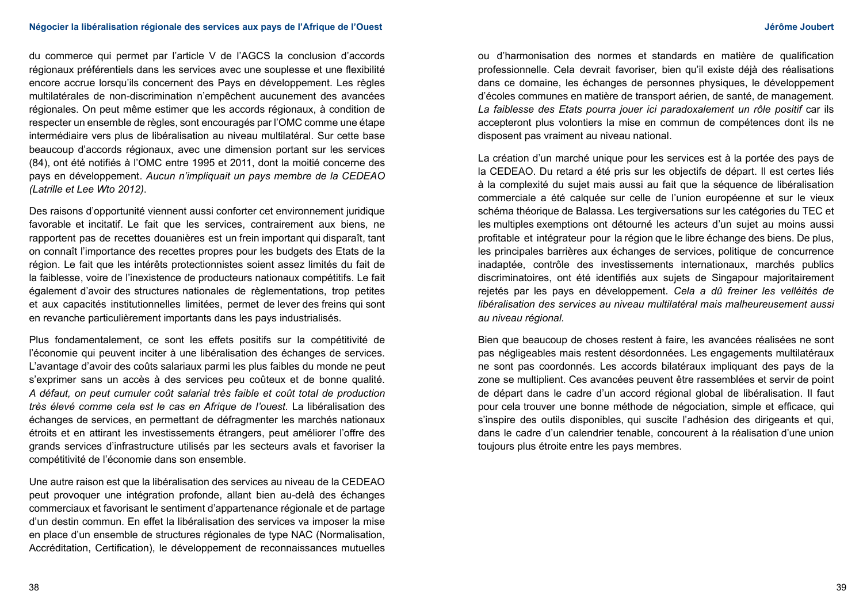#### **Négocier la libéralisation régionale des services aux pays de l'Afrique de l'Ouest Jérôme Joubert**

du commerce qui permet par l'article V de l'AGCS la conclusion d'accords régionaux préférentiels dans les services avec une souplesse et une flexibilité encore accrue lorsqu'ils concernent des Pays en développement. Les règles multilatérales de non-discrimination n'empêchent aucunement des avancées régionales. On peut même estimer que les accords régionaux, à condition de respecter un ensemble de règles, sont encouragés par l'OMC comme une étape intermédiaire vers plus de libéralisation au niveau multilatéral. Sur cette base beaucoup d'accords régionaux, avec une dimension portant sur les services (84), ont été notifiés à l'OMC entre 1995 et 2011, dont la moitié concerne des pays en développement. *Aucun n'impliquait un pays membre de la CEDEAO (Latrille et Lee Wto 2012)*.

Des raisons d'opportunité viennent aussi conforter cet environnement juridique favorable et incitatif. Le fait que les services, contrairement aux biens, ne rapportent pas de recettes douanières est un frein important qui disparaît, tant on connaît l'importance des recettes propres pour les budgets des Etats de la région. Le fait que les intérêts protectionnistes soient assez limités du fait de la faiblesse, voire de l'inexistence de producteurs nationaux compétitifs. Le fait également d'avoir des structures nationales de règlementations, trop petites et aux capacités institutionnelles limitées, permet de lever des freins qui sont en revanche particulièrement importants dans les pays industrialisés.

Plus fondamentalement, ce sont les effets positifs sur la compétitivité de l'économie qui peuvent inciter à une libéralisation des échanges de services. L'avantage d'avoir des coûts salariaux parmi les plus faibles du monde ne peut s'exprimer sans un accès à des services peu coûteux et de bonne qualité. *A défaut, on peut cumuler coût salarial très faible et coût total de production très élevé comme cela est le cas en Afrique de l'ouest.* La libéralisation des échanges de services, en permettant de défragmenter les marchés nationaux étroits et en attirant les investissements étrangers, peut améliorer l'offre des grands services d'infrastructure utilisés par les secteurs avals et favoriser la compétitivité de l'économie dans son ensemble.

Une autre raison est que la libéralisation des services au niveau de la CEDEAO peut provoquer une intégration profonde, allant bien au-delà des échanges commerciaux et favorisant le sentiment d'appartenance régionale et de partage d'un destin commun. En effet la libéralisation des services va imposer la mise en place d'un ensemble de structures régionales de type NAC (Normalisation, Accréditation, Certification), le développement de reconnaissances mutuelles ou d'harmonisation des normes et standards en matière de qualification professionnelle. Cela devrait favoriser, bien qu'il existe déjà des réalisations dans ce domaine, les échanges de personnes physiques, le développement d'écoles communes en matière de transport aérien, de santé, de management. La faiblesse des Etats pourra jouer ici paradoxalement un rôle positif car ils accepteront plus volontiers la mise en commun de compétences dont ils ne disposent pas vraiment au niveau national.

La création d'un marché unique pour les services est à la portée des pays de la CEDEAO. Du retard a été pris sur les objectifs de départ. Il est certes liés à la complexité du sujet mais aussi au fait que la séquence de libéralisation commerciale a été calquée sur celle de l'union européenne et sur le vieux schéma théorique de Balassa. Les tergiversations sur les catégories du TEC et les multiples exemptions ont détourné les acteurs d'un sujet au moins aussi profitable et intégrateur pour la région que le libre échange des biens. De plus, les principales barrières aux échanges de services, politique de concurrence inadaptée, contrôle des investissements internationaux, marchés publics discriminatoires, ont été identifiés aux sujets de Singapour majoritairement rejetés par les pays en développement. *Cela a dû freiner les velléités de libéralisation des services au niveau multilatéral mais malheureusement aussi au niveau régional.*

Bien que beaucoup de choses restent à faire, les avancées réalisées ne sont pas négligeables mais restent désordonnées. Les engagements multilatéraux ne sont pas coordonnés. Les accords bilatéraux impliquant des pays de la zone se multiplient. Ces avancées peuvent être rassemblées et servir de point de départ dans le cadre d'un accord régional global de libéralisation. Il faut pour cela trouver une bonne méthode de négociation, simple et efficace, qui s'inspire des outils disponibles, qui suscite l'adhésion des dirigeants et qui, dans le cadre d'un calendrier tenable, concourent à la réalisation d'une union toujours plus étroite entre les pays membres.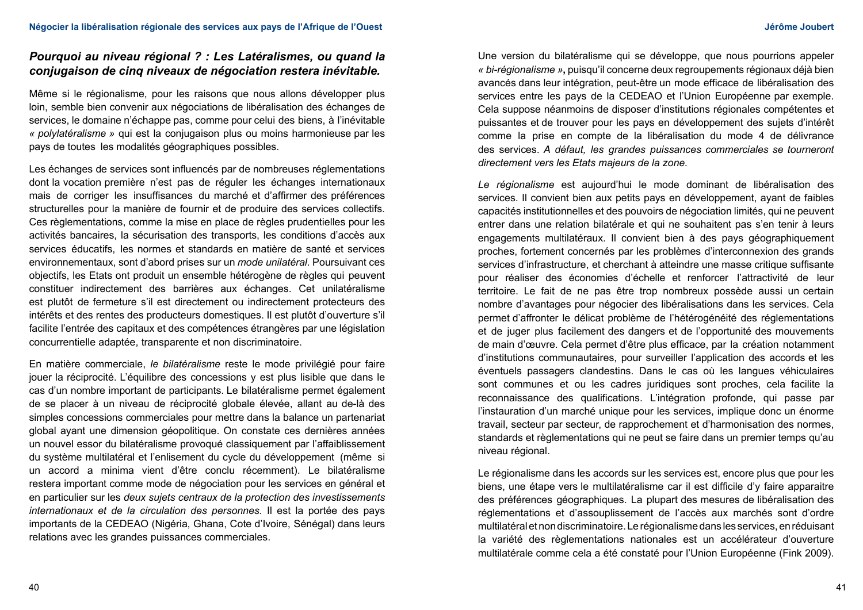# *Pourquoi au niveau régional ? : Les Latéralismes, ou quand la conjugaison de cinq niveaux de négociation restera inévitable.*

Même si le régionalisme, pour les raisons que nous allons développer plus loin, semble bien convenir aux négociations de libéralisation des échanges de services, le domaine n'échappe pas, comme pour celui des biens, à l'inévitable *« polylatéralisme »* qui est la conjugaison plus ou moins harmonieuse par les pays de toutes les modalités géographiques possibles.

Les échanges de services sont influencés par de nombreuses réglementations dont la vocation première n'est pas de réguler les échanges internationaux mais de corriger les insuffisances du marché et d'affirmer des préférences structurelles pour la manière de fournir et de produire des services collectifs. Ces règlementations, comme la mise en place de règles prudentielles pour les activités bancaires, la sécurisation des transports, les conditions d'accès aux services éducatifs, les normes et standards en matière de santé et services environnementaux, sont d'abord prises sur un *mode unilatéral.* Poursuivant ces objectifs, les Etats ont produit un ensemble hétérogène de règles qui peuvent constituer indirectement des barrières aux échanges. Cet unilatéralisme est plutôt de fermeture s'il est directement ou indirectement protecteurs des intérêts et des rentes des producteurs domestiques. Il est plutôt d'ouverture s'il facilite l'entrée des capitaux et des compétences étrangères par une législation concurrentielle adaptée, transparente et non discriminatoire.

En matière commerciale, *le bilatéralisme* reste le mode privilégié pour faire jouer la réciprocité. L'équilibre des concessions y est plus lisible que dans le cas d'un nombre important de participants. Le bilatéralisme permet également de se placer à un niveau de réciprocité globale élevée, allant au de-là des simples concessions commerciales pour mettre dans la balance un partenariat global ayant une dimension géopolitique. On constate ces dernières années un nouvel essor du bilatéralisme provoqué classiquement par l'affaiblissement du système multilatéral et l'enlisement du cycle du développement (même si un accord a minima vient d'être conclu récemment). Le bilatéralisme restera important comme mode de négociation pour les services en général et en particulier sur les *deux sujets centraux de la protection des investissements internationaux et de la circulation des personnes.* Il est la portée des pays importants de la CEDEAO (Nigéria, Ghana, Cote d'Ivoire, Sénégal) dans leurs relations avec les grandes puissances commerciales.

Une version du bilatéralisme qui se développe, que nous pourrions appeler *« bi-régionalisme »***,** puisqu'il concerne deux regroupements régionaux déjà bien avancés dans leur intégration, peut-être un mode efficace de libéralisation des services entre les pays de la CEDEAO et l'Union Européenne par exemple. Cela suppose néanmoins de disposer d'institutions régionales compétentes et puissantes et de trouver pour les pays en développement des sujets d'intérêt comme la prise en compte de la libéralisation du mode 4 de délivrance des services. *A défaut, les grandes puissances commerciales se tourneront directement vers les Etats majeurs de la zone.*

*Le régionalisme* est aujourd'hui le mode dominant de libéralisation des services. Il convient bien aux petits pays en développement, ayant de faibles capacités institutionnelles et des pouvoirs de négociation limités, qui ne peuvent entrer dans une relation bilatérale et qui ne souhaitent pas s'en tenir à leurs engagements multilatéraux. Il convient bien à des pays géographiquement proches, fortement concernés par les problèmes d'interconnexion des grands services d'infrastructure, et cherchant à atteindre une masse critique suffisante pour réaliser des économies d'échelle et renforcer l'attractivité de leur territoire. Le fait de ne pas être trop nombreux possède aussi un certain nombre d'avantages pour négocier des libéralisations dans les services. Cela permet d'affronter le délicat problème de l'hétérogénéité des réglementations et de juger plus facilement des dangers et de l'opportunité des mouvements de main d'œuvre. Cela permet d'être plus efficace, par la création notamment d'institutions communautaires, pour surveiller l'application des accords et les éventuels passagers clandestins. Dans le cas où les langues véhiculaires sont communes et ou les cadres juridiques sont proches, cela facilite la reconnaissance des qualifications. L'intégration profonde, qui passe par l'instauration d'un marché unique pour les services, implique donc un énorme travail, secteur par secteur, de rapprochement et d'harmonisation des normes, standards et règlementations qui ne peut se faire dans un premier temps qu'au niveau régional.

Le régionalisme dans les accords sur les services est, encore plus que pour les biens, une étape vers le multilatéralisme car il est difficile d'y faire apparaitre des préférences géographiques. La plupart des mesures de libéralisation des réglementations et d'assouplissement de l'accès aux marchés sont d'ordre multilatéral et non discriminatoire. Le régionalisme dans les services, en réduisant la variété des règlementations nationales est un accélérateur d'ouverture multilatérale comme cela a été constaté pour l'Union Européenne (Fink 2009).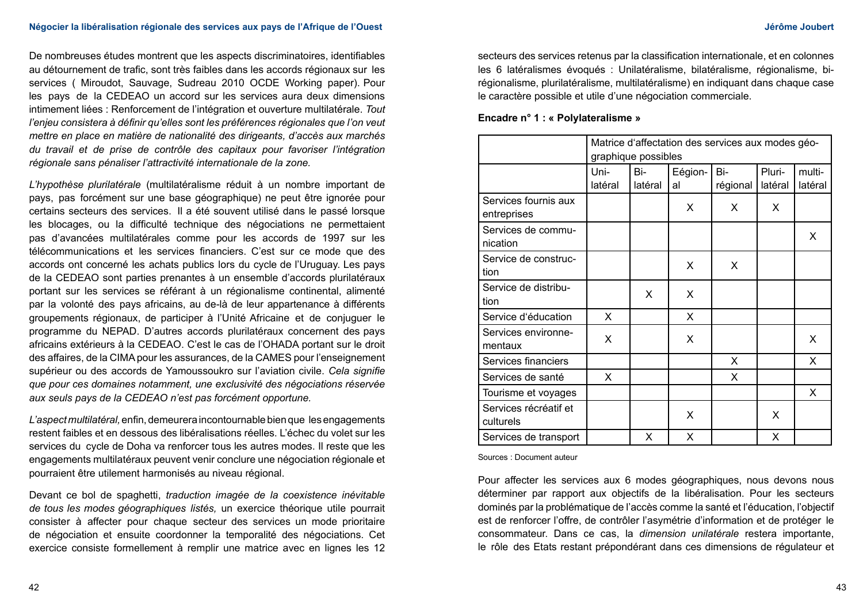De nombreuses études montrent que les aspects discriminatoires, identifiables au détournement de trafic, sont très faibles dans les accords régionaux sur les services ( Miroudot, Sauvage, Sudreau 2010 OCDE Working paper). Pour les pays de la CEDEAO un accord sur les services aura deux dimensions intimement liées : Renforcement de l'intégration et ouverture multilatérale. *Tout l'enjeu consistera à définir qu'elles sont les préférences régionales que l'on veut mettre en place en matière de nationalité des dirigeants, d'accès aux marchés du travail et de prise de contrôle des capitaux pour favoriser l'intégration régionale sans pénaliser l'attractivité internationale de la zone.*

*L'hypothèse plurilatérale* (multilatéralisme réduit à un nombre important de pays, pas forcément sur une base géographique) ne peut être ignorée pour certains secteurs des services. Il a été souvent utilisé dans le passé lorsque les blocages, ou la difficulté technique des négociations ne permettaient pas d'avancées multilatérales comme pour les accords de 1997 sur les télécommunications et les services financiers. C'est sur ce mode que des accords ont concerné les achats publics lors du cycle de l'Uruguay. Les pays de la CEDEAO sont parties prenantes à un ensemble d'accords plurilatéraux portant sur les services se référant à un régionalisme continental, alimenté par la volonté des pays africains, au de-là de leur appartenance à différents groupements régionaux, de participer à l'Unité Africaine et de conjuguer le programme du NEPAD. D'autres accords plurilatéraux concernent des pays africains extérieurs à la CEDEAO. C'est le cas de l'OHADA portant sur le droit des affaires, de la CIMA pour les assurances, de la CAMES pour l'enseignement supérieur ou des accords de Yamoussoukro sur l'aviation civile. *Cela signifie que pour ces domaines notamment, une exclusivité des négociations réservée aux seuls pays de la CEDEAO n'est pas forcément opportune.*

*L'aspect multilatéral,* enfin, demeurera incontournable bien que les engagements restent faibles et en dessous des libéralisations réelles. L'échec du volet sur les services du cycle de Doha va renforcer tous les autres modes. Il reste que les engagements multilatéraux peuvent venir conclure une négociation régionale et pourraient être utilement harmonisés au niveau régional.

Devant ce bol de spaghetti, *traduction imagée de la coexistence inévitable de tous les modes géographiques listés,* un exercice théorique utile pourrait consister à affecter pour chaque secteur des services un mode prioritaire de négociation et ensuite coordonner la temporalité des négociations. Cet exercice consiste formellement à remplir une matrice avec en lignes les 12

secteurs des services retenus par la classification internationale, et en colonnes les 6 latéralismes évoqués : Unilatéralisme, bilatéralisme, régionalisme, birégionalisme, plurilatéralisme, multilatéralisme) en indiquant dans chaque case le caractère possible et utile d'une négociation commerciale.

### **Encadre n° 1 : « Polylateralisme »**

|                                     | Matrice d'affectation des services aux modes géo- |         |         |          |         |         |
|-------------------------------------|---------------------------------------------------|---------|---------|----------|---------|---------|
|                                     | graphique possibles                               |         |         |          |         |         |
|                                     | Uni-                                              | Bi-     | Eégion- | Bi-      | Pluri-  | multi-  |
|                                     | latéral                                           | latéral | al      | régional | latéral | latéral |
| Services fournis aux<br>entreprises |                                                   |         | X       | X        | X       |         |
| Services de commu-<br>nication      |                                                   |         |         |          |         | X       |
| Service de construc-<br>tion        |                                                   |         | X       | X        |         |         |
| Service de distribu-<br>tion        |                                                   | X       | X       |          |         |         |
| Service d'éducation                 | X                                                 |         | X       |          |         |         |
| Services environne-<br>mentaux      | X                                                 |         | X       |          |         | X       |
| Services financiers                 |                                                   |         |         | X        |         | X       |
| Services de santé                   | X                                                 |         |         | X        |         |         |
| Tourisme et voyages                 |                                                   |         |         |          |         | X       |
| Services récréatif et<br>culturels  |                                                   |         | X.      |          | X       |         |
| Services de transport               |                                                   | x       | X       |          | X       |         |

Sources : Document auteur

Pour affecter les services aux 6 modes géographiques, nous devons nous déterminer par rapport aux objectifs de la libéralisation. Pour les secteurs dominés par la problématique de l'accès comme la santé et l'éducation, l'objectif est de renforcer l'offre, de contrôler l'asymétrie d'information et de protéger le consommateur. Dans ce cas, la *dimension unilatérale* restera importante, le rôle des Etats restant prépondérant dans ces dimensions de régulateur et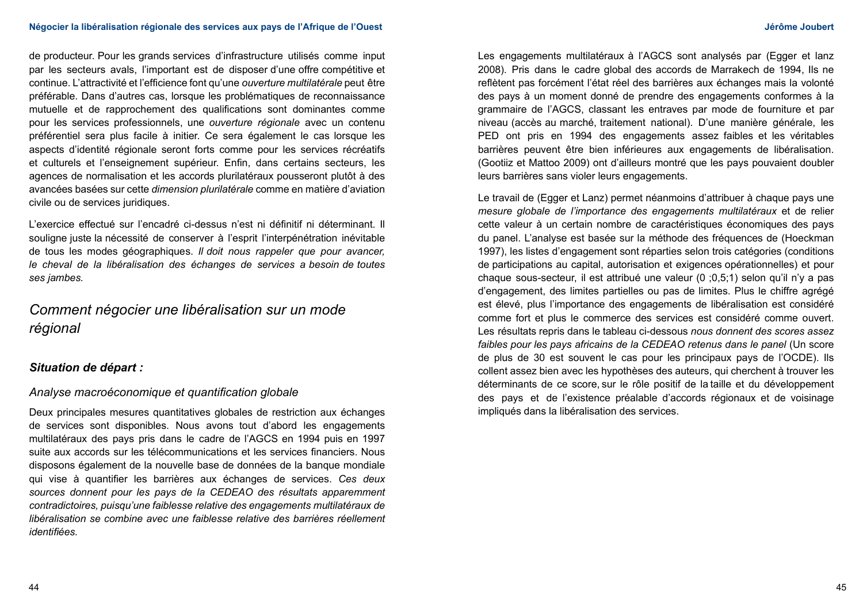de producteur. Pour les grands services d'infrastructure utilisés comme input par les secteurs avals, l'important est de disposer d'une offre compétitive et continue. L'attractivité et l'efficience font qu'une *ouverture multilatérale* peut être préférable. Dans d'autres cas, lorsque les problématiques de reconnaissance mutuelle et de rapprochement des qualifications sont dominantes comme pour les services professionnels, une *ouverture régionale* avec un contenu préférentiel sera plus facile à initier. Ce sera également le cas lorsque les aspects d'identité régionale seront forts comme pour les services récréatifs et culturels et l'enseignement supérieur. Enfin, dans certains secteurs, les agences de normalisation et les accords plurilatéraux pousseront plutôt à des avancées basées sur cette *dimension plurilatérale* comme en matière d'aviation civile ou de services juridiques.

L'exercice effectué sur l'encadré ci-dessus n'est ni définitif ni déterminant. Il souligne juste la nécessité de conserver à l'esprit l'interpénétration inévitable de tous les modes géographiques. *Il doit nous rappeler que pour avancer, le cheval de la libéralisation des échanges de services a besoin de toutes ses jambes.*

# *Comment négocier une libéralisation sur un mode régional*

# *Situation de départ :*

## *Analyse macroéconomique et quantification globale*

Deux principales mesures quantitatives globales de restriction aux échanges de services sont disponibles. Nous avons tout d'abord les engagements multilatéraux des pays pris dans le cadre de l'AGCS en 1994 puis en 1997 suite aux accords sur les télécommunications et les services financiers. Nous disposons également de la nouvelle base de données de la banque mondiale qui vise à quantifier les barrières aux échanges de services. *Ces deux sources donnent pour les pays de la CEDEAO des résultats apparemment contradictoires, puisqu'une faiblesse relative des engagements multilatéraux de libéralisation se combine avec une faiblesse relative des barrières réellement identifiées.*

Les engagements multilatéraux à l'AGCS sont analysés par (Egger et lanz 2008). Pris dans le cadre global des accords de Marrakech de 1994, Ils ne reflètent pas forcément l'état réel des barrières aux échanges mais la volonté des pays à un moment donné de prendre des engagements conformes à la grammaire de l'AGCS, classant les entraves par mode de fourniture et par niveau (accès au marché, traitement national). D'une manière générale, les PED ont pris en 1994 des engagements assez faibles et les véritables barrières peuvent être bien inférieures aux engagements de libéralisation. (Gootiiz et Mattoo 2009) ont d'ailleurs montré que les pays pouvaient doubler leurs barrières sans violer leurs engagements.

Le travail de (Egger et Lanz) permet néanmoins d'attribuer à chaque pays une *mesure globale de l'importance des engagements multilatéraux* et de relier cette valeur à un certain nombre de caractéristiques économiques des pays du panel. L'analyse est basée sur la méthode des fréquences de (Hoeckman 1997), les listes d'engagement sont réparties selon trois catégories (conditions de participations au capital, autorisation et exigences opérationnelles) et pour chaque sous-secteur, il est attribué une valeur (0 ;0,5;1) selon qu'il n'y a pas d'engagement, des limites partielles ou pas de limites. Plus le chiffre agrégé est élevé, plus l'importance des engagements de libéralisation est considéré comme fort et plus le commerce des services est considéré comme ouvert. Les résultats repris dans le tableau ci-dessous *nous donnent des scores assez faibles pour les pays africains de la CEDEAO retenus dans le panel* (Un score de plus de 30 est souvent le cas pour les principaux pays de l'OCDE). Ils collent assez bien avec les hypothèses des auteurs, qui cherchent à trouver les déterminants de ce score, sur le rôle positif de la taille et du développement des pays et de l'existence préalable d'accords régionaux et de voisinage impliqués dans la libéralisation des services.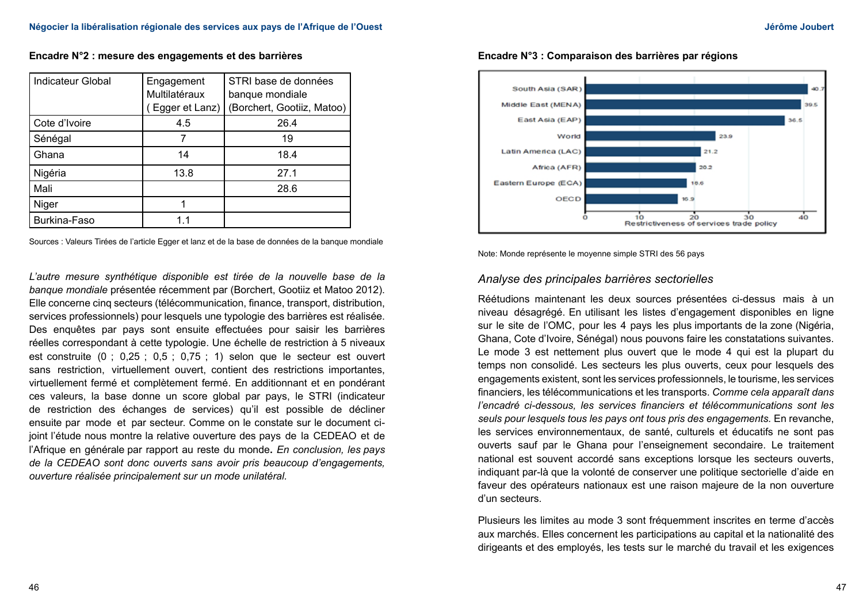**Encadre N°2 : mesure des engagements et des barrières**

| <b>Indicateur Global</b> | Engagement     | STRI base de données       |
|--------------------------|----------------|----------------------------|
|                          | Multilatéraux  | banque mondiale            |
|                          | Egger et Lanz) | (Borchert, Gootiiz, Matoo) |
| Cote d'Ivoire            | 4.5            | 26.4                       |
| Sénégal                  |                | 19                         |
| Ghana                    | 14             | 18.4                       |
| Nigéria                  | 13.8           | 27.1                       |
| Mali                     |                | 28.6                       |
| Niger                    |                |                            |
| Burkina-Faso             | 11             |                            |

Sources : Valeurs Tirées de l'article Egger et lanz et de la base de données de la banque mondiale

L'autre mesure synthétique disponible est tirée de la nouvelle base de la *banque mondiale* présentée récemment par (Borchert, Gootiiz et Matoo 2012). Elle concerne cinq secteurs (télécommunication, finance, transport, distribution, services professionnels) pour lesquels une typologie des barrières est réalisée. Des enquêtes par pays sont ensuite effectuées pour saisir les barrières réelles correspondant à cette typologie. Une échelle de restriction à 5 niveaux est construite (0 ; 0,25 ; 0,5 ; 0,75 ; 1) selon que le secteur est ouvert sans restriction, virtuellement ouvert, contient des restrictions importantes, virtuellement fermé et complètement fermé. En additionnant et en pondérant ces valeurs, la base donne un score global par pays, le STRI (indicateur de restriction des échanges de services) qu'il est possible de décliner ensuite par mode et par secteur. Comme on le constate sur le document cijoint l'étude nous montre la relative ouverture des pays de la CEDEAO et de l'Afrique en générale par rapport au reste du monde**.** *En conclusion, les pays de la CEDEAO sont donc ouverts sans avoir pris beaucoup d'engagements, ouverture réalisée principalement sur un mode unilatéral.*



**Encadre N°3 : Comparaison des barrières par régions**

Note: Monde représente le moyenne simple STRI des 56 pays

## *Analyse des principales barrières sectorielles*

Réétudions maintenant les deux sources présentées ci-dessus mais à un niveau désagrégé. En utilisant les listes d'engagement disponibles en ligne sur le site de l'OMC, pour les 4 pays les plus importants de la zone (Nigéria, Ghana, Cote d'Ivoire, Sénégal) nous pouvons faire les constatations suivantes. Le mode 3 est nettement plus ouvert que le mode 4 qui est la plupart du temps non consolidé. Les secteurs les plus ouverts, ceux pour lesquels des engagements existent, sont les services professionnels, le tourisme, les services financiers, les télécommunications et les transports. *Comme cela apparaît dans l'encadré ci-dessous, les services financiers et télécommunications sont les seuls pour lesquels tous les pays ont tous pris des engagements.* En revanche, les services environnementaux, de santé, culturels et éducatifs ne sont pas ouverts sauf par le Ghana pour l'enseignement secondaire. Le traitement national est souvent accordé sans exceptions lorsque les secteurs ouverts, indiquant par-là que la volonté de conserver une politique sectorielle d'aide en faveur des opérateurs nationaux est une raison majeure de la non ouverture d'un secteurs.

Plusieurs les limites au mode 3 sont fréquemment inscrites en terme d'accès aux marchés. Elles concernent les participations au capital et la nationalité des dirigeants et des employés, les tests sur le marché du travail et les exigences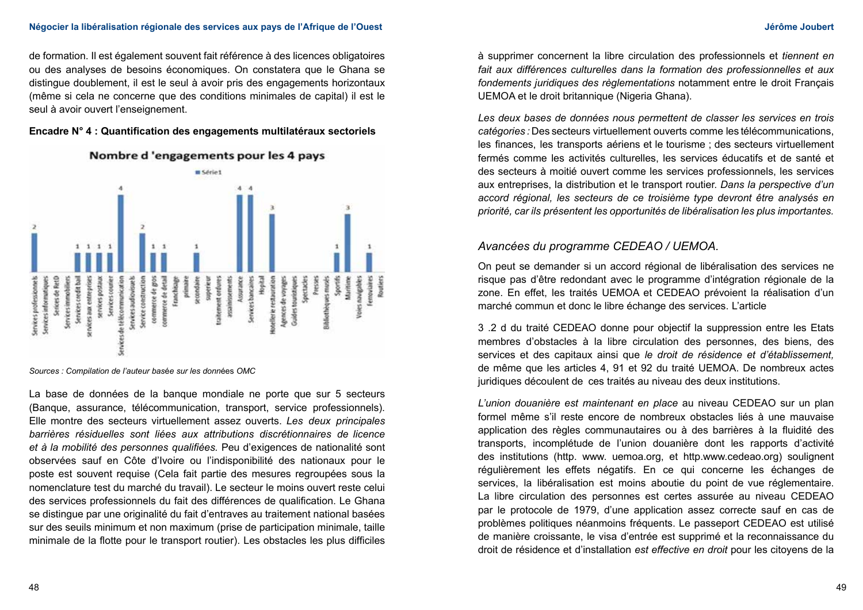#### **Négocier la libéralisation régionale des services aux pays de l'Afrique de l'Ouest Jérôme Joubert**

de formation. Il est également souvent fait référence à des licences obligatoires ou des analyses de besoins économiques. On constatera que le Ghana se distingue doublement, il est le seul à avoir pris des engagements horizontaux (même si cela ne concerne que des conditions minimales de capital) il est le seul à avoir ouvert l'enseignement.

### **Encadre N° 4 : Quantification des engagements multilatéraux sectoriels**



# Nombre d'engagements pour les 4 pays

*Sources : Compilation de l'auteur bas*é*e sur les donn*ées *OMC* 

La base de données de la banque mondiale ne porte que sur 5 secteurs (Banque, assurance, télécommunication, transport, service professionnels). Elle montre des secteurs virtuellement assez ouverts. *Les deux principales barrières résiduelles sont liées aux attributions discrétionnaires de licence et à la mobilité des personnes qualifiées.* Peu d'exigences de nationalité sont observées sauf en Côte d'Ivoire ou l'indisponibilité des nationaux pour le poste est souvent requise (Cela fait partie des mesures regroupées sous la nomenclature test du marché du travail). Le secteur le moins ouvert reste celui des services professionnels du fait des différences de qualification. Le Ghana se distingue par une originalité du fait d'entraves au traitement national basées sur des seuils minimum et non maximum (prise de participation minimale, taille minimale de la flotte pour le transport routier). Les obstacles les plus difficiles

à supprimer concernent la libre circulation des professionnels et *tiennent en fait aux différences culturelles dans la formation des professionnelles et aux fondements juridiques des règlementations* notamment entre le droit Français UEMOA et le droit britannique (Nigeria Ghana).

*Les deux bases de données nous permettent de classer les services en trois catégories :* Des secteurs virtuellement ouverts comme les télécommunications, les finances, les transports aériens et le tourisme ; des secteurs virtuellement fermés comme les activités culturelles, les services éducatifs et de santé et des secteurs à moitié ouvert comme les services professionnels, les services aux entreprises, la distribution et le transport routier. *Dans la perspective d'un accord régional, les secteurs de ce troisième type devront être analysés en priorité, car ils présentent les opportunités de libéralisation les plus importantes.*

## *Avancées du programme CEDEAO / UEMOA.*

On peut se demander si un accord régional de libéralisation des services ne risque pas d'être redondant avec le programme d'intégration régionale de la zone. En effet, les traités UEMOA et CEDEAO prévoient la réalisation d'un marché commun et donc le libre échange des services. L'article

3 .2 d du traité CEDEAO donne pour objectif la suppression entre les Etats membres d'obstacles à la libre circulation des personnes, des biens, des services et des capitaux ainsi que *le droit de résidence et d'établissement,*  de même que les articles 4, 91 et 92 du traité UEMOA. De nombreux actes juridiques découlent de ces traités au niveau des deux institutions.

*L'union douanière est maintenant en place* au niveau CEDEAO sur un plan formel même s'il reste encore de nombreux obstacles liés à une mauvaise application des règles communautaires ou à des barrières à la fluidité des transports, incomplétude de l'union douanière dont les rapports d'activité des institutions (http. www. uemoa.org, et http.www.cedeao.org) soulignent régulièrement les effets négatifs. En ce qui concerne les échanges de services, la libéralisation est moins aboutie du point de vue réglementaire. La libre circulation des personnes est certes assurée au niveau CEDEAO par le protocole de 1979, d'une application assez correcte sauf en cas de problèmes politiques néanmoins fréquents. Le passeport CEDEAO est utilisé de manière croissante, le visa d'entrée est supprimé et la reconnaissance du droit de résidence et d'installation *est effective en droit* pour les citoyens de la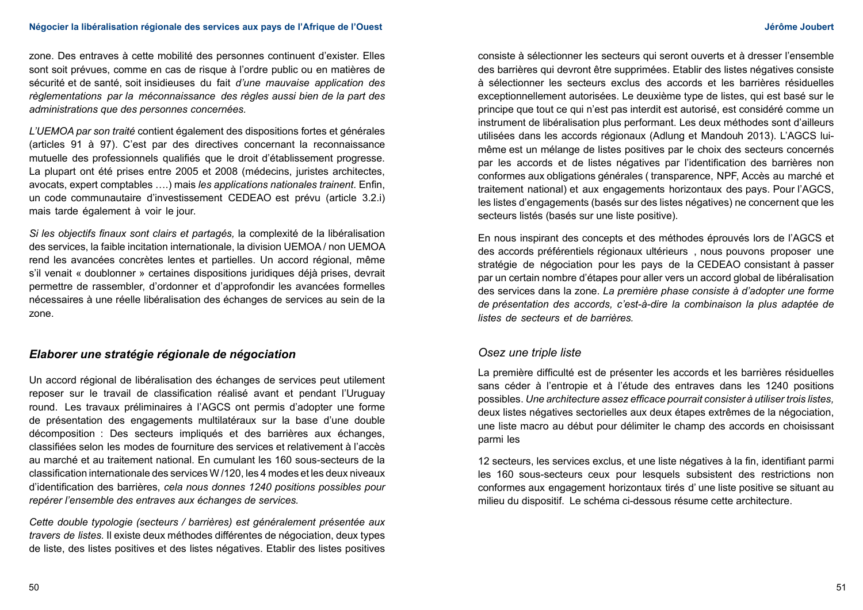zone. Des entraves à cette mobilité des personnes continuent d'exister. Elles sont soit prévues, comme en cas de risque à l'ordre public ou en matières de sécurité et de santé, soit insidieuses du fait *d'une mauvaise application des règlementations par la méconnaissance des règles aussi bien de la part des administrations que des personnes concernées.*

*L'UEMOA par son traité* contient également des dispositions fortes et générales (articles 91 à 97). C'est par des directives concernant la reconnaissance mutuelle des professionnels qualifiés que le droit d'établissement progresse. La plupart ont été prises entre 2005 et 2008 (médecins, juristes architectes, avocats, expert comptables ….) mais *les applications nationales trainent.* Enfin, un code communautaire d'investissement CEDEAO est prévu (article 3.2.i) mais tarde également à voir le jour.

*Si les objectifs finaux sont clairs et partagés,* la complexité de la libéralisation des services, la faible incitation internationale, la division UEMOA / non UEMOA rend les avancées concrètes lentes et partielles. Un accord régional, même s'il venait « doublonner » certaines dispositions juridiques déjà prises, devrait permettre de rassembler, d'ordonner et d'approfondir les avancées formelles nécessaires à une réelle libéralisation des échanges de services au sein de la zone.

## *Elaborer une stratégie régionale de négociation*

Un accord régional de libéralisation des échanges de services peut utilement reposer sur le travail de classification réalisé avant et pendant l'Uruguay round. Les travaux préliminaires à l'AGCS ont permis d'adopter une forme de présentation des engagements multilatéraux sur la base d'une double décomposition : Des secteurs impliqués et des barrières aux échanges, classifiées selon les modes de fourniture des services et relativement à l'accès au marché et au traitement national. En cumulant les 160 sous-secteurs de la classification internationale des services W /120, les 4 modes et les deux niveaux d'identification des barrières, *cela nous donnes 1240 positions possibles pour repérer l'ensemble des entraves aux échanges de services.*

*Cette double typologie (secteurs / barrières) est généralement présentée aux travers de listes.* Il existe deux méthodes différentes de négociation, deux types de liste, des listes positives et des listes négatives. Etablir des listes positives

consiste à sélectionner les secteurs qui seront ouverts et à dresser l'ensemble des barrières qui devront être supprimées. Etablir des listes négatives consiste à sélectionner les secteurs exclus des accords et les barrières résiduelles exceptionnellement autorisées. Le deuxième type de listes, qui est basé sur le principe que tout ce qui n'est pas interdit est autorisé, est considéré comme un instrument de libéralisation plus performant. Les deux méthodes sont d'ailleurs utilisées dans les accords régionaux (Adlung et Mandouh 2013). L'AGCS luimême est un mélange de listes positives par le choix des secteurs concernés par les accords et de listes négatives par l'identification des barrières non conformes aux obligations générales ( transparence, NPF, Accès au marché et traitement national) et aux engagements horizontaux des pays. Pour l'AGCS, les listes d'engagements (basés sur des listes négatives) ne concernent que les secteurs listés (basés sur une liste positive).

En nous inspirant des concepts et des méthodes éprouvés lors de l'AGCS et des accords préférentiels régionaux ultérieurs , nous pouvons proposer une stratégie de négociation pour les pays de la CEDEAO consistant à passer par un certain nombre d'étapes pour aller vers un accord global de libéralisation des services dans la zone. *La première phase consiste à d'adopter une forme de présentation des accords, c'est-à-dire la combinaison la plus adaptée de listes de secteurs et de barrières.*

## *Osez une triple liste*

La première difficulté est de présenter les accords et les barrières résiduelles sans céder à l'entropie et à l'étude des entraves dans les 1240 positions possibles. *Une architecture assez efficace pourrait consister à utiliser trois listes,* deux listes négatives sectorielles aux deux étapes extrêmes de la négociation, une liste macro au début pour délimiter le champ des accords en choisissant parmi les

12 secteurs, les services exclus, et une liste négatives à la fin, identifiant parmi les 160 sous-secteurs ceux pour lesquels subsistent des restrictions non conformes aux engagement horizontaux tirés d' une liste positive se situant au milieu du dispositif. Le schéma ci-dessous résume cette architecture.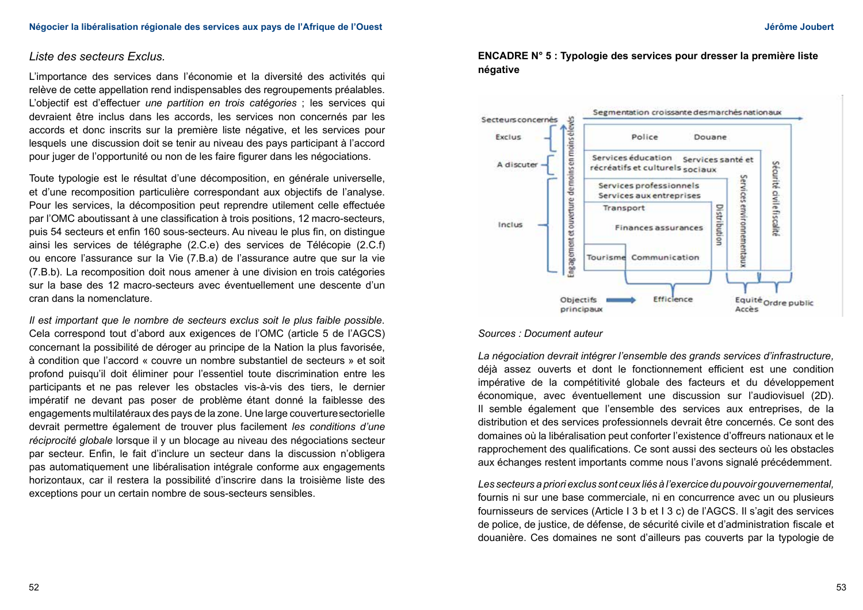### *Liste des secteurs Exclus.*

L'importance des services dans l'économie et la diversité des activités qui relève de cette appellation rend indispensables des regroupements préalables. L'objectif est d'effectuer *une partition en trois catégories* ; les services qui devraient être inclus dans les accords, les services non concernés par les accords et donc inscrits sur la première liste négative, et les services pour lesquels une discussion doit se tenir au niveau des pays participant à l'accord pour juger de l'opportunité ou non de les faire figurer dans les négociations.

Toute typologie est le résultat d'une décomposition, en générale universelle, et d'une recomposition particulière correspondant aux objectifs de l'analyse. Pour les services, la décomposition peut reprendre utilement celle effectuée par l'OMC aboutissant à une classification à trois positions, 12 macro-secteurs, puis 54 secteurs et enfin 160 sous-secteurs. Au niveau le plus fin, on distingue ainsi les services de télégraphe (2.C.e) des services de Télécopie (2.C.f) ou encore l'assurance sur la Vie (7.B.a) de l'assurance autre que sur la vie (7.B.b). La recomposition doit nous amener à une division en trois catégories sur la base des 12 macro-secteurs avec éventuellement une descente d'un cran dans la nomenclature.

*Il est important que le nombre de secteurs exclus soit le plus faible possible.*  Cela correspond tout d'abord aux exigences de l'OMC (article 5 de l'AGCS) concernant la possibilité de déroger au principe de la Nation la plus favorisée, à condition que l'accord « couvre un nombre substantiel de secteurs » et soit profond puisqu'il doit éliminer pour l'essentiel toute discrimination entre les participants et ne pas relever les obstacles vis-à-vis des tiers, le dernier impératif ne devant pas poser de problème étant donné la faiblesse des engagements multilatéraux des pays de la zone. Une large couverture sectorielle devrait permettre également de trouver plus facilement *les conditions d'une réciprocité globale* lorsque il y un blocage au niveau des négociations secteur par secteur. Enfin, le fait d'inclure un secteur dans la discussion n'obligera pas automatiquement une libéralisation intégrale conforme aux engagements horizontaux, car il restera la possibilité d'inscrire dans la troisième liste des exceptions pour un certain nombre de sous-secteurs sensibles.

## **ENCADRE N° 5 : Typologie des services pour dresser la première liste négative**



#### *Sources : Document auteur*

*La négociation devrait intégrer l'ensemble des grands services d'infrastructure,*  déjà assez ouverts et dont le fonctionnement efficient est une condition impérative de la compétitivité globale des facteurs et du développement économique, avec éventuellement une discussion sur l'audiovisuel (2D). Il semble également que l'ensemble des services aux entreprises, de la distribution et des services professionnels devrait être concernés. Ce sont des domaines où la libéralisation peut conforter l'existence d'offreurs nationaux et le rapprochement des qualifications. Ce sont aussi des secteurs où les obstacles aux échanges restent importants comme nous l'avons signalé précédemment.

*Les secteurs a priori exclus sont ceux liés à l'exercice du pouvoir gouvernemental,*  fournis ni sur une base commerciale, ni en concurrence avec un ou plusieurs fournisseurs de services (Article I 3 b et I 3 c) de l'AGCS. Il s'agit des services de police, de justice, de défense, de sécurité civile et d'administration fiscale et douanière. Ces domaines ne sont d'ailleurs pas couverts par la typologie de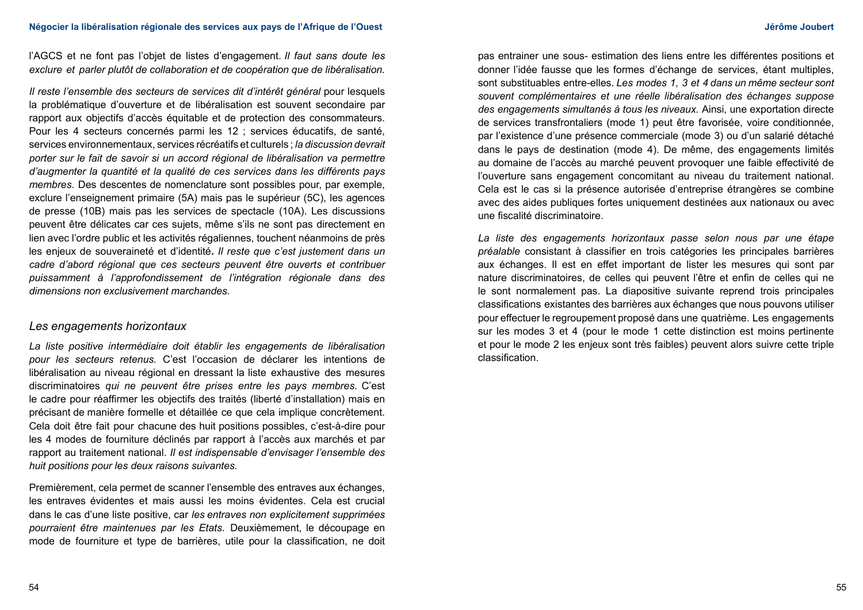l'AGCS et ne font pas l'objet de listes d'engagement. *Il faut sans doute les exclure et parler plutôt de collaboration et de coopération que de libéralisation.*

*Il reste l'ensemble des secteurs de services dit d'intérêt général pour lesquels* la problématique d'ouverture et de libéralisation est souvent secondaire par rapport aux objectifs d'accès équitable et de protection des consommateurs. Pour les 4 secteurs concernés parmi les 12 ; services éducatifs, de santé, services environnementaux, services récréatifs et culturels ; *la discussion devrait porter sur le fait de savoir si un accord régional de libéralisation va permettre d'augmenter la quantité et la qualité de ces services dans les différents pays membres.* Des descentes de nomenclature sont possibles pour, par exemple, exclure l'enseignement primaire (5A) mais pas le supérieur (5C), les agences de presse (10B) mais pas les services de spectacle (10A). Les discussions peuvent être délicates car ces sujets, même s'ils ne sont pas directement en lien avec l'ordre public et les activités régaliennes, touchent néanmoins de près les enjeux de souveraineté et d'identité**.** *Il reste que c'est justement dans un cadre d'abord régional que ces secteurs peuvent être ouverts et contribuer puissamment à l'approfondissement de l'intégration régionale dans des dimensions non exclusivement marchandes.*

### *Les engagements horizontaux*

*La liste positive intermédiaire doit établir les engagements de libéralisation pour les secteurs retenus.* C'est l'occasion de déclarer les intentions de libéralisation au niveau régional en dressant la liste exhaustive des mesures discriminatoires *qui ne peuvent être prises entre les pays membres.* C'est le cadre pour réaffirmer les objectifs des traités (liberté d'installation) mais en précisant de manière formelle et détaillée ce que cela implique concrètement. Cela doit être fait pour chacune des huit positions possibles, c'est-à-dire pour les 4 modes de fourniture déclinés par rapport à l'accès aux marchés et par rapport au traitement national. *Il est indispensable d'envisager l'ensemble des huit positions pour les deux raisons suivantes.*

Premièrement, cela permet de scanner l'ensemble des entraves aux échanges, les entraves évidentes et mais aussi les moins évidentes. Cela est crucial dans le cas d'une liste positive, car *les entraves non explicitement supprimées pourraient être maintenues par les Etats.* Deuxièmement, le découpage en mode de fourniture et type de barrières, utile pour la classification, ne doit pas entrainer une sous- estimation des liens entre les différentes positions et donner l'idée fausse que les formes d'échange de services, étant multiples, sont substituables entre-elles. *Les modes 1, 3 et 4 dans un même secteur sont souvent complémentaires et une réelle libéralisation des échanges suppose des engagements simultanés à tous les niveaux.* Ainsi, une exportation directe de services transfrontaliers (mode 1) peut être favorisée, voire conditionnée, par l'existence d'une présence commerciale (mode 3) ou d'un salarié détaché dans le pays de destination (mode 4). De même, des engagements limités au domaine de l'accès au marché peuvent provoquer une faible effectivité de l'ouverture sans engagement concomitant au niveau du traitement national. Cela est le cas si la présence autorisée d'entreprise étrangères se combine avec des aides publiques fortes uniquement destinées aux nationaux ou avec une fiscalité discriminatoire.

*La liste des engagements horizontaux passe selon nous par une étape préalable* consistant à classifier en trois catégories les principales barrières aux échanges. Il est en effet important de lister les mesures qui sont par nature discriminatoires, de celles qui peuvent l'être et enfin de celles qui ne le sont normalement pas. La diapositive suivante reprend trois principales classifications existantes des barrières aux échanges que nous pouvons utiliser pour effectuer le regroupement proposé dans une quatrième. Les engagements sur les modes 3 et 4 (pour le mode 1 cette distinction est moins pertinente et pour le mode 2 les enjeux sont très faibles) peuvent alors suivre cette triple classification.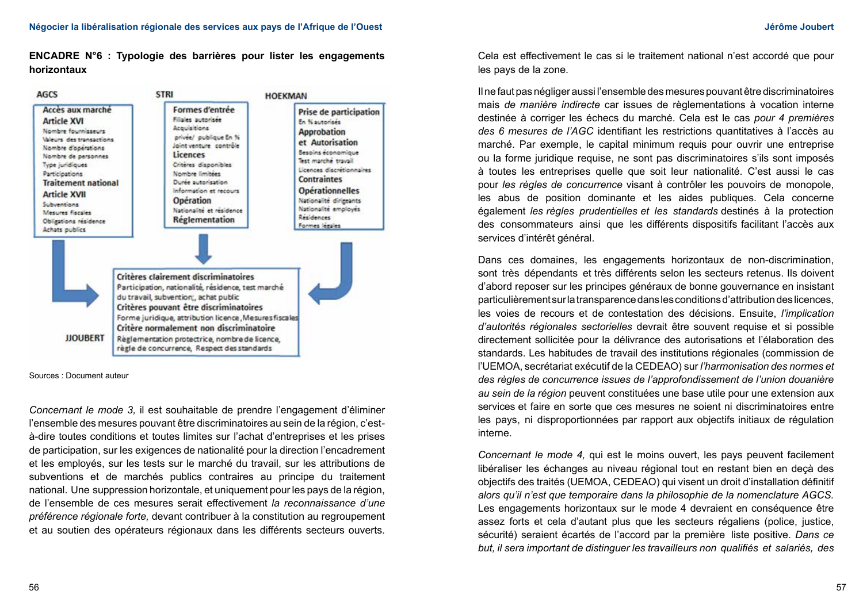**ENCADRE N°6 : Typologie des barrières pour lister les engagements horizontaux**



Sources : Document auteur

*Concernant le mode 3,* il est souhaitable de prendre l'engagement d'éliminer l'ensemble des mesures pouvant être discriminatoires au sein de la région, c'està-dire toutes conditions et toutes limites sur l'achat d'entreprises et les prises de participation, sur les exigences de nationalité pour la direction l'encadrement et les employés, sur les tests sur le marché du travail, sur les attributions de subventions et de marchés publics contraires au principe du traitement national. Une suppression horizontale, et uniquement pour les pays de la région, de l'ensemble de ces mesures serait effectivement *la reconnaissance d'une préférence régionale forte,* devant contribuer à la constitution au regroupement et au soutien des opérateurs régionaux dans les différents secteurs ouverts.

Cela est effectivement le cas si le traitement national n'est accordé que pour les pays de la zone.

Il ne faut pas négliger aussi l'ensemble des mesures pouvant être discriminatoires mais *de manière indirecte* car issues de règlementations à vocation interne destinée à corriger les échecs du marché. Cela est le cas *pour 4 premières des 6 mesures de l'AGC* identifiant les restrictions quantitatives à l'accès au marché. Par exemple, le capital minimum requis pour ouvrir une entreprise ou la forme juridique requise, ne sont pas discriminatoires s'ils sont imposés à toutes les entreprises quelle que soit leur nationalité. C'est aussi le cas pour *les règles de concurrence* visant à contrôler les pouvoirs de monopole, les abus de position dominante et les aides publiques. Cela concerne également *les règles prudentielles et les standards* destinés à la protection des consommateurs ainsi que les différents dispositifs facilitant l'accès aux services d'intérêt général.

Dans ces domaines, les engagements horizontaux de non-discrimination, sont très dépendants et très différents selon les secteurs retenus. Ils doivent d'abord reposer sur les principes généraux de bonne gouvernance en insistant particulièrement sur la transparence dans les conditions d'attribution des licences, les voies de recours et de contestation des décisions. Ensuite, *l'implication d'autorités régionales sectorielles* devrait être souvent requise et si possible directement sollicitée pour la délivrance des autorisations et l'élaboration des standards. Les habitudes de travail des institutions régionales (commission de l'UEMOA, secrétariat exécutif de la CEDEAO) sur *l'harmonisation des normes et des règles de concurrence issues de l'approfondissement de l'union douanière au sein de la région* peuvent constituées une base utile pour une extension aux services et faire en sorte que ces mesures ne soient ni discriminatoires entre les pays, ni disproportionnées par rapport aux objectifs initiaux de régulation interne.

*Concernant le mode 4,* qui est le moins ouvert, les pays peuvent facilement libéraliser les échanges au niveau régional tout en restant bien en deçà des objectifs des traités (UEMOA, CEDEAO) qui visent un droit d'installation définitif *alors qu'il n'est que temporaire dans la philosophie de la nomenclature AGCS.* Les engagements horizontaux sur le mode 4 devraient en conséquence être assez forts et cela d'autant plus que les secteurs régaliens (police, justice, sécurité) seraient écartés de l'accord par la première liste positive. *Dans ce but, il sera important de distinguer les travailleurs non qualifiés et salariés, des*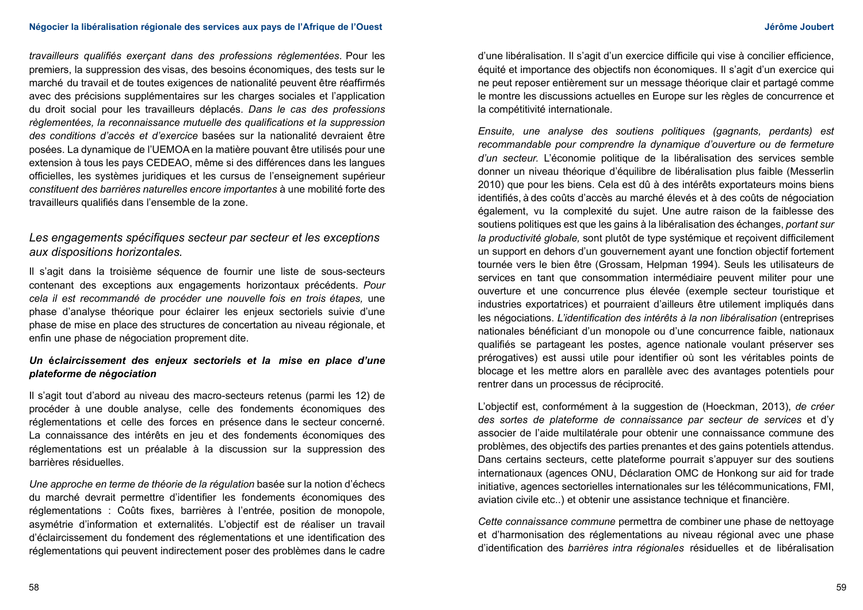*travailleurs qualifiés exerçant dans des professions règlementées.* Pour les premiers, la suppression des visas, des besoins économiques, des tests sur le marché du travail et de toutes exigences de nationalité peuvent être réaffirmés avec des précisions supplémentaires sur les charges sociales et l'application du droit social pour les travailleurs déplacés. *Dans le cas des professions règlementées, la reconnaissance mutuelle des qualifications et la suppression des conditions d'accès et d'exercice* basées sur la nationalité devraient être posées. La dynamique de l'UEMOA en la matière pouvant être utilisés pour une extension à tous les pays CEDEAO, même si des différences dans les langues officielles, les systèmes juridiques et les cursus de l'enseignement supérieur *constituent des barrières naturelles encore importantes* à une mobilité forte des travailleurs qualifiés dans l'ensemble de la zone.

# *Les engagements spécifiques secteur par secteur et les exceptions aux dispositions horizontales.*

Il s'agit dans la troisième séquence de fournir une liste de sous-secteurs contenant des exceptions aux engagements horizontaux précédents. *Pour cela il est recommandé de procéder une nouvelle fois en trois étapes,* une phase d'analyse théorique pour éclairer les enjeux sectoriels suivie d'une phase de mise en place des structures de concertation au niveau régionale, et enfin une phase de négociation proprement dite.

## *Un* **é***claircissement des enjeux sectoriels et la mise en place d'une plateforme de n***é***gociation*

Il s'agit tout d'abord au niveau des macro-secteurs retenus (parmi les 12) de procéder à une double analyse, celle des fondements économiques des réglementations et celle des forces en présence dans le secteur concerné. La connaissance des intérêts en jeu et des fondements économiques des réglementations est un préalable à la discussion sur la suppression des barrières résiduelles.

*Une approche en terme de théorie de la régulation* basée sur la notion d'échecs du marché devrait permettre d'identifier les fondements économiques des réglementations : Coûts fixes, barrières à l'entrée, position de monopole, asymétrie d'information et externalités. L'objectif est de réaliser un travail d'éclaircissement du fondement des réglementations et une identification des réglementations qui peuvent indirectement poser des problèmes dans le cadre

d'une libéralisation. Il s'agit d'un exercice difficile qui vise à concilier efficience, équité et importance des objectifs non économiques. Il s'agit d'un exercice qui ne peut reposer entièrement sur un message théorique clair et partagé comme le montre les discussions actuelles en Europe sur les règles de concurrence et la compétitivité internationale.

*Ensuite, une analyse des soutiens politiques (gagnants, perdants) est recommandable pour comprendre la dynamique d'ouverture ou de fermeture d'un secteur.* L'économie politique de la libéralisation des services semble donner un niveau théorique d'équilibre de libéralisation plus faible (Messerlin 2010) que pour les biens. Cela est dû à des intérêts exportateurs moins biens identifiés, à des coûts d'accès au marché élevés et à des coûts de négociation également, vu la complexité du sujet. Une autre raison de la faiblesse des soutiens politiques est que les gains à la libéralisation des échanges, *portant sur la productivité globale,* sont plutôt de type systémique et reçoivent difficilement un support en dehors d'un gouvernement ayant une fonction objectif fortement tournée vers le bien être (Grossam, Helpman 1994). Seuls les utilisateurs de services en tant que consommation intermédiaire peuvent militer pour une ouverture et une concurrence plus élevée (exemple secteur touristique et industries exportatrices) et pourraient d'ailleurs être utilement impliqués dans les négociations. L'identification des intérêts à la non libéralisation (entreprises nationales bénéficiant d'un monopole ou d'une concurrence faible, nationaux qualifiés se partageant les postes, agence nationale voulant préserver ses prérogatives) est aussi utile pour identifier où sont les véritables points de blocage et les mettre alors en parallèle avec des avantages potentiels pour rentrer dans un processus de réciprocité.

L'objectif est, conformément à la suggestion de (Hoeckman, 2013), *de créer des sortes de plateforme de connaissance par secteur de services* et d'y associer de l'aide multilatérale pour obtenir une connaissance commune des problèmes, des objectifs des parties prenantes et des gains potentiels attendus. Dans certains secteurs, cette plateforme pourrait s'appuyer sur des soutiens internationaux (agences ONU, Déclaration OMC de Honkong sur aid for trade initiative, agences sectorielles internationales sur les télécommunications, FMI, aviation civile etc..) et obtenir une assistance technique et financière.

*Cette connaissance commune* permettra de combiner une phase de nettoyage et d'harmonisation des réglementations au niveau régional avec une phase d'identification des *barrières intra régionales* résiduelles et de libéralisation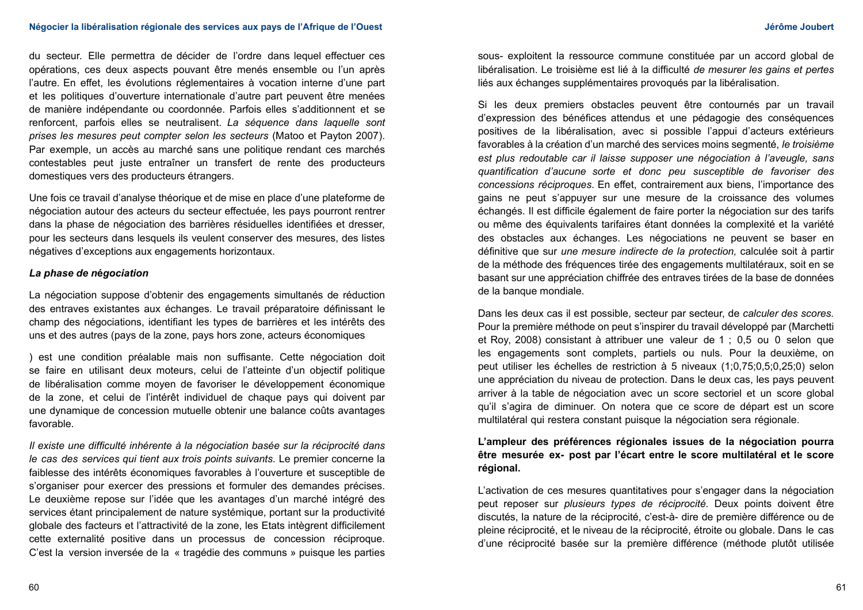#### **Négocier la libéralisation régionale des services aux pays de l'Afrique de l'Ouest Jérôme Joubert**

du secteur. Elle permettra de décider de l'ordre dans lequel effectuer ces opérations, ces deux aspects pouvant être menés ensemble ou l'un après l'autre. En effet, les évolutions réglementaires à vocation interne d'une part et les politiques d'ouverture internationale d'autre part peuvent être menées de manière indépendante ou coordonnée. Parfois elles s'additionnent et se renforcent, parfois elles se neutralisent. *La séquence dans laquelle sont prises les mesures peut compter selon les secteurs* (Matoo et Payton 2007). Par exemple, un accès au marché sans une politique rendant ces marchés contestables peut juste entraîner un transfert de rente des producteurs domestiques vers des producteurs étrangers.

Une fois ce travail d'analyse théorique et de mise en place d'une plateforme de négociation autour des acteurs du secteur effectuée, les pays pourront rentrer dans la phase de négociation des barrières résiduelles identifiées et dresser, pour les secteurs dans lesquels ils veulent conserver des mesures, des listes négatives d'exceptions aux engagements horizontaux.

#### *La phase de n***é***gociation*

La négociation suppose d'obtenir des engagements simultanés de réduction des entraves existantes aux échanges. Le travail préparatoire définissant le champ des négociations, identifiant les types de barrières et les intérêts des uns et des autres (pays de la zone, pays hors zone, acteurs économiques

) est une condition préalable mais non suffisante. Cette négociation doit se faire en utilisant deux moteurs, celui de l'atteinte d'un objectif politique de libéralisation comme moyen de favoriser le développement économique de la zone, et celui de l'intérêt individuel de chaque pays qui doivent par une dynamique de concession mutuelle obtenir une balance coûts avantages favorable.

*Il existe une difficulté inhérente à la négociation basée sur la réciprocité dans le cas des services qui tient aux trois points suivants.* Le premier concerne la faiblesse des intérêts économiques favorables à l'ouverture et susceptible de s'organiser pour exercer des pressions et formuler des demandes précises. Le deuxième repose sur l'idée que les avantages d'un marché intégré des services étant principalement de nature systémique, portant sur la productivité globale des facteurs et l'attractivité de la zone, les Etats intègrent difficilement cette externalité positive dans un processus de concession réciproque. C'est la version inversée de la « tragédie des communs » puisque les parties

sous- exploitent la ressource commune constituée par un accord global de libéralisation. Le troisième est lié à la difficulté *de mesurer les gains et pertes* liés aux échanges supplémentaires provoqués par la libéralisation.

Si les deux premiers obstacles peuvent être contournés par un travail d'expression des bénéfices attendus et une pédagogie des conséquences positives de la libéralisation, avec si possible l'appui d'acteurs extérieurs favorables à la création d'un marché des services moins segmenté, *le troisième est plus redoutable car il laisse supposer une négociation à l'aveugle, sans quantification d'aucune sorte et donc peu susceptible de favoriser des concessions réciproques.* En effet, contrairement aux biens, l'importance des gains ne peut s'appuyer sur une mesure de la croissance des volumes échangés. Il est difficile également de faire porter la négociation sur des tarifs ou même des équivalents tarifaires étant données la complexité et la variété des obstacles aux échanges. Les négociations ne peuvent se baser en définitive que sur *une mesure indirecte de la protection,* calculée soit à partir de la méthode des fréquences tirée des engagements multilatéraux, soit en se basant sur une appréciation chiffrée des entraves tirées de la base de données de la banque mondiale.

Dans les deux cas il est possible, secteur par secteur, de *calculer des scores.*  Pour la première méthode on peut s'inspirer du travail développé par (Marchetti et Roy, 2008) consistant à attribuer une valeur de 1 ; 0,5 ou 0 selon que les engagements sont complets, partiels ou nuls. Pour la deuxième, on peut utiliser les échelles de restriction à 5 niveaux (1;0,75;0,5;0,25;0) selon une appréciation du niveau de protection. Dans le deux cas, les pays peuvent arriver à la table de négociation avec un score sectoriel et un score global qu'il s'agira de diminuer. On notera que ce score de départ est un score multilatéral qui restera constant puisque la négociation sera régionale.

## **L'ampleur des préférences régionales issues de la négociation pourra être mesurée ex- post par l'écart entre le score multilatéral et le score régional.**

L'activation de ces mesures quantitatives pour s'engager dans la négociation peut reposer sur *plusieurs types de réciprocité.* Deux points doivent être discutés, la nature de la réciprocité, c'est-à- dire de première différence ou de pleine réciprocité, et le niveau de la réciprocité, étroite ou globale. Dans le cas d'une réciprocité basée sur la première différence (méthode plutôt utilisée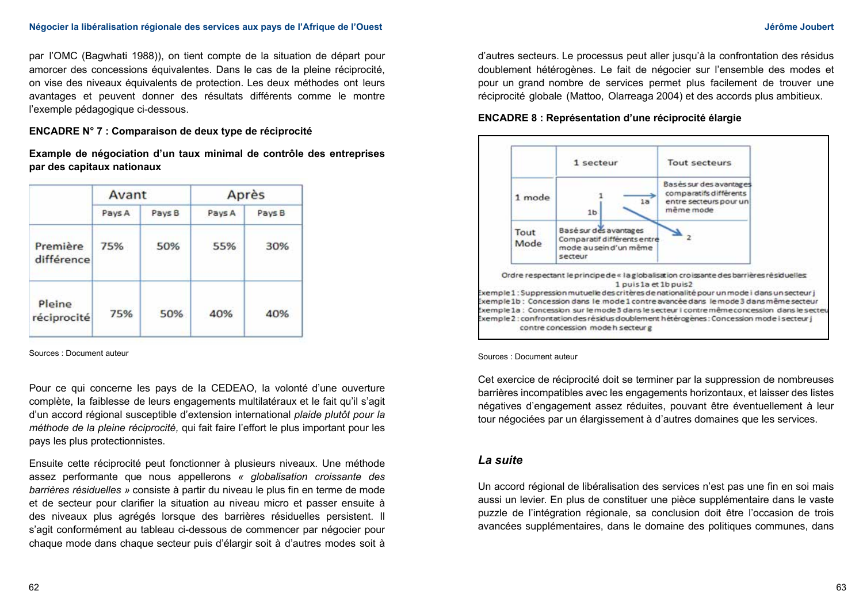par l'OMC (Bagwhati 1988)), on tient compte de la situation de départ pour amorcer des concessions équivalentes. Dans le cas de la pleine réciprocité, on vise des niveaux équivalents de protection. Les deux méthodes ont leurs avantages et peuvent donner des résultats différents comme le montre l'exemple pédagogique ci-dessous.

### **ENCADRE N° 7 : Comparaison de deux type de réciprocité**

**Example de négociation d'un taux minimal de contrôle des entreprises par des capitaux nationaux**

|                        | Avant  |        | Après  |        |
|------------------------|--------|--------|--------|--------|
|                        | Pays A | Pays B | Pays A | Pays B |
| Première<br>différence | 75%    | 50%    | 55%    | 30%    |
| Pleine<br>réciprocité  | 75%    | 50%    | 40%    | 40%    |

Sources : Document auteur

Pour ce qui concerne les pays de la CEDEAO, la volonté d'une ouverture complète, la faiblesse de leurs engagements multilatéraux et le fait qu'il s'agit d'un accord régional susceptible d'extension international *plaide plutôt pour la méthode de la pleine réciprocité,* qui fait faire l'effort le plus important pour les pays les plus protectionnistes.

Ensuite cette réciprocité peut fonctionner à plusieurs niveaux. Une méthode assez performante que nous appellerons *« globalisation croissante des barrières résiduelles »* consiste à partir du niveau le plus fin en terme de mode et de secteur pour clarifier la situation au niveau micro et passer ensuite à des niveaux plus agrégés lorsque des barrières résiduelles persistent. Il s'agit conformément au tableau ci-dessous de commencer par négocier pour chaque mode dans chaque secteur puis d'élargir soit à d'autres modes soit à

d'autres secteurs. Le processus peut aller jusqu'à la confrontation des résidus doublement hétérogènes. Le fait de négocier sur l'ensemble des modes et pour un grand nombre de services permet plus facilement de trouver une réciprocité globale (Mattoo, Olarreaga 2004) et des accords plus ambitieux.

### **ENCADRE 8 : Représentation d'une réciprocité élargie**



Sources : Document auteur

Cet exercice de réciprocité doit se terminer par la suppression de nombreuses barrières incompatibles avec les engagements horizontaux, et laisser des listes négatives d'engagement assez réduites, pouvant être éventuellement à leur tour négociées par un élargissement à d'autres domaines que les services.

## *La suite*

Un accord régional de libéralisation des services n'est pas une fin en soi mais aussi un levier. En plus de constituer une pièce supplémentaire dans le vaste puzzle de l'intégration régionale, sa conclusion doit être l'occasion de trois avancées supplémentaires, dans le domaine des politiques communes, dans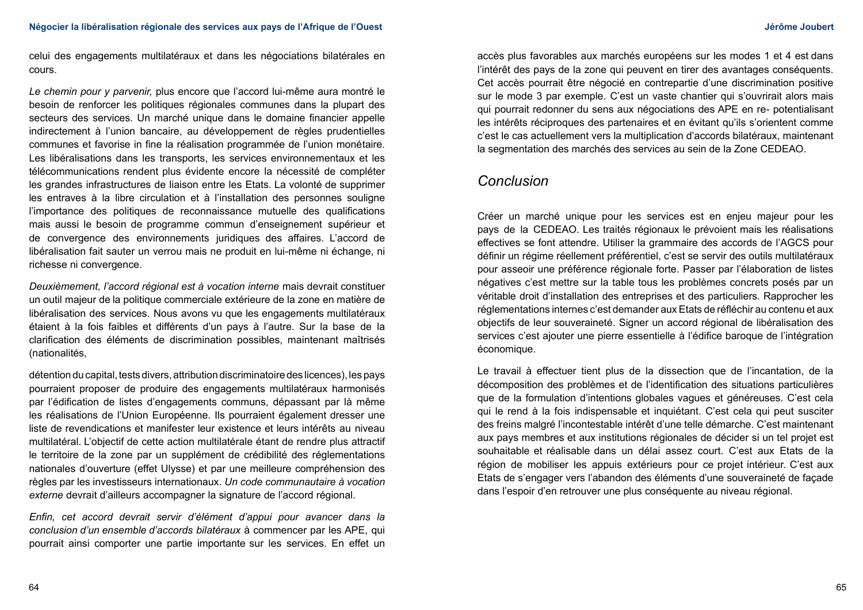celui des engagements multilatéraux et dans les négociations bilatérales en cours.

*Le chemin pour y parvenir,* plus encore que l'accord lui-même aura montré le besoin de renforcer les politiques régionales communes dans la plupart des secteurs des services. Un marché unique dans le domaine financier appelle indirectement à l'union bancaire, au développement de règles prudentielles communes et favorise in fine la réalisation programmée de l'union monétaire. Les libéralisations dans les transports, les services environnementaux et les télécommunications rendent plus évidente encore la nécessité de compléter les grandes infrastructures de liaison entre les Etats. La volonté de supprimer les entraves à la libre circulation et à l'installation des personnes souligne l'importance des politiques de reconnaissance mutuelle des qualifications mais aussi le besoin de programme commun d'enseignement supérieur et de convergence des environnements juridiques des affaires. L'accord de libéralisation fait sauter un verrou mais ne produit en lui-même ni échange, ni richesse ni convergence.

*Deuxièmement, l'accord régional est à vocation interne* mais devrait constituer un outil majeur de la politique commerciale extérieure de la zone en matière de libéralisation des services. Nous avons vu que les engagements multilatéraux étaient à la fois faibles et différents d'un pays à l'autre. Sur la base de la clarification des éléments de discrimination possibles, maintenant maîtrisés (nationalités,

détention du capital, tests divers, attribution discriminatoire des licences), les pays pourraient proposer de produire des engagements multilatéraux harmonisés par l'édification de listes d'engagements communs, dépassant par là même les réalisations de l'Union Européenne. Ils pourraient également dresser une liste de revendications et manifester leur existence et leurs intérêts au niveau multilatéral. L'objectif de cette action multilatérale étant de rendre plus attractif le territoire de la zone par un supplément de crédibilité des réglementations nationales d'ouverture (effet Ulysse) et par une meilleure compréhension des règles par les investisseurs internationaux. *Un code communautaire à vocation externe* devrait d'ailleurs accompagner la signature de l'accord régional.

*Enfin, cet accord devrait servir d'élément d'appui pour avancer dans la conclusion d'un ensemble d'accords bilatéraux* à commencer par les APE, qui pourrait ainsi comporter une partie importante sur les services. En effet un

accès plus favorables aux marchés européens sur les modes 1 et 4 est dans l'intérêt des pays de la zone qui peuvent en tirer des avantages conséquents. Cet accès pourrait être négocié en contrepartie d'une discrimination positive sur le mode 3 par exemple. C'est un vaste chantier qui s'ouvrirait alors mais qui pourrait redonner du sens aux négociations des APE en re- potentialisant les intérêts réciproques des partenaires et en évitant qu'ils s'orientent comme c'est le cas actuellement vers la multiplication d'accords bilatéraux, maintenant la segmentation des marchés des services au sein de la Zone CEDEAO.

# *Conclusion*

Créer un marché unique pour les services est en enjeu majeur pour les pays de la CEDEAO. Les traités régionaux le prévoient mais les réalisations effectives se font attendre. Utiliser la grammaire des accords de l'AGCS pour définir un régime réellement préférentiel, c'est se servir des outils multilatéraux pour asseoir une préférence régionale forte. Passer par l'élaboration de listes négatives c'est mettre sur la table tous les problèmes concrets posés par un véritable droit d'installation des entreprises et des particuliers. Rapprocher les réglementations internes c'est demander aux Etats de réfléchir au contenu et aux objectifs de leur souveraineté. Signer un accord régional de libéralisation des services c'est ajouter une pierre essentielle à l'édifice baroque de l'intégration économique.

Le travail à effectuer tient plus de la dissection que de l'incantation, de la décomposition des problèmes et de l'identification des situations particulières que de la formulation d'intentions globales vagues et généreuses. C'est cela qui le rend à la fois indispensable et inquiétant. C'est cela qui peut susciter des freins malgré l'incontestable intérêt d'une telle démarche. C'est maintenant aux pays membres et aux institutions régionales de décider si un tel projet est souhaitable et réalisable dans un délai assez court. C'est aux Etats de la région de mobiliser les appuis extérieurs pour ce projet intérieur. C'est aux Etats de s'engager vers l'abandon des éléments d'une souveraineté de façade dans l'espoir d'en retrouver une plus conséquente au niveau régional.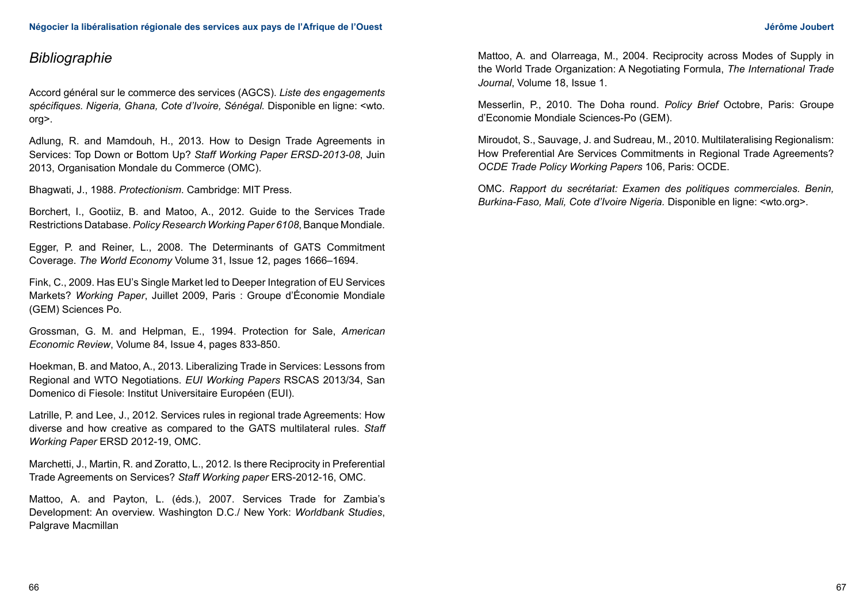# *Bibliographie*

Accord général sur le commerce des services (AGCS). *Liste des engagements spécifiques. Nigeria, Ghana, Cote d'Ivoire, Sénégal.* Disponible en ligne: <wto. org>.

Adlung, R. and Mamdouh, H., 2013. How to Design Trade Agreements in Services: Top Down or Bottom Up? *Staff Working Paper ERSD-2013-08*, Juin 2013, Organisation Mondale du Commerce (OMC).

Bhagwati, J., 1988. *Protectionism*. Cambridge: MIT Press.

Borchert, I., Gootiiz, B. and Matoo, A., 2012. Guide to the Services Trade Restrictions Database. *Policy Research Working Paper 6108*, Banque Mondiale.

Egger, P. and Reiner, L., 2008. The Determinants of GATS Commitment Coverage. *The World Economy* Volume 31, Issue 12, pages 1666–1694.

Fink, C., 2009. Has EU's Single Market led to Deeper Integration of EU Services Markets? *Working Paper*, Juillet 2009, Paris : Groupe d'Économie Mondiale (GEM) Sciences Po.

Grossman, G. M. and Helpman, E., 1994. Protection for Sale, *American Economic Review*, Volume 84, Issue 4, pages 833-850.

Hoekman, B. and Matoo, A., 2013. Liberalizing Trade in Services: Lessons from Regional and WTO Negotiations. *EUI Working Papers* RSCAS 2013/34, San Domenico di Fiesole: Institut Universitaire Européen (EUI).

Latrille, P. and Lee, J., 2012. Services rules in regional trade Agreements: How diverse and how creative as compared to the GATS multilateral rules. *Staff Working Paper* ERSD 2012-19, OMC.

Marchetti, J., Martin, R. and Zoratto, L., 2012. Is there Reciprocity in Preferential Trade Agreements on Services? *Staff Working paper* ERS-2012-16, OMC.

Mattoo, A. and Payton, L. (éds.), 2007. Services Trade for Zambia's Development: An overview. Washington D.C./ New York: *Worldbank Studies*, Palgrave Macmillan

Mattoo, A. and Olarreaga, M., 2004. Reciprocity across Modes of Supply in the World Trade Organization: A Negotiating Formula, *The International Trade Journal*, Volume 18, Issue 1.

Messerlin, P., 2010. The Doha round. *Policy Brief* Octobre, Paris: Groupe d'Economie Mondiale Sciences-Po (GEM).

Miroudot, S., Sauvage, J. and Sudreau, M., 2010. Multilateralising Regionalism: How Preferential Are Services Commitments in Regional Trade Agreements? *OCDE Trade Policy Working Papers* 106, Paris: OCDE.

OMC. *Rapport du secrétariat: Examen des politiques commerciales. Benin, Burkina-Faso, Mali, Cote d'Ivoire Nigeria.* Disponible en ligne: <wto.org>.